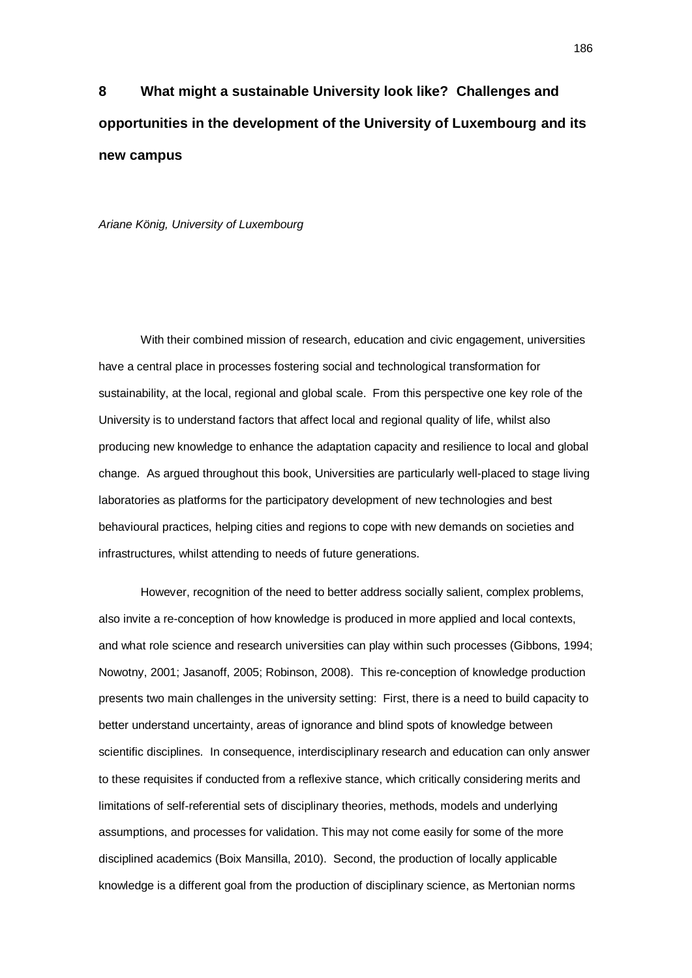# **8 What might a sustainable University look like? Challenges and opportunities in the development of the University of Luxembourg and its new campus**

*Ariane König, University of Luxembourg*

With their combined mission of research, education and civic engagement, universities have a central place in processes fostering social and technological transformation for sustainability, at the local, regional and global scale. From this perspective one key role of the University is to understand factors that affect local and regional quality of life, whilst also producing new knowledge to enhance the adaptation capacity and resilience to local and global change. As argued throughout this book, Universities are particularly well-placed to stage living laboratories as platforms for the participatory development of new technologies and best behavioural practices, helping cities and regions to cope with new demands on societies and infrastructures, whilst attending to needs of future generations.

However, recognition of the need to better address socially salient, complex problems, also invite a re-conception of how knowledge is produced in more applied and local contexts, and what role science and research universities can play within such processes (Gibbons, 1994; Nowotny, 2001; Jasanoff, 2005; Robinson, 2008). This re-conception of knowledge production presents two main challenges in the university setting: First, there is a need to build capacity to better understand uncertainty, areas of ignorance and blind spots of knowledge between scientific disciplines. In consequence, interdisciplinary research and education can only answer to these requisites if conducted from a reflexive stance, which critically considering merits and limitations of self-referential sets of disciplinary theories, methods, models and underlying assumptions, and processes for validation. This may not come easily for some of the more disciplined academics (Boix Mansilla, 2010). Second, the production of locally applicable knowledge is a different goal from the production of disciplinary science, as Mertonian norms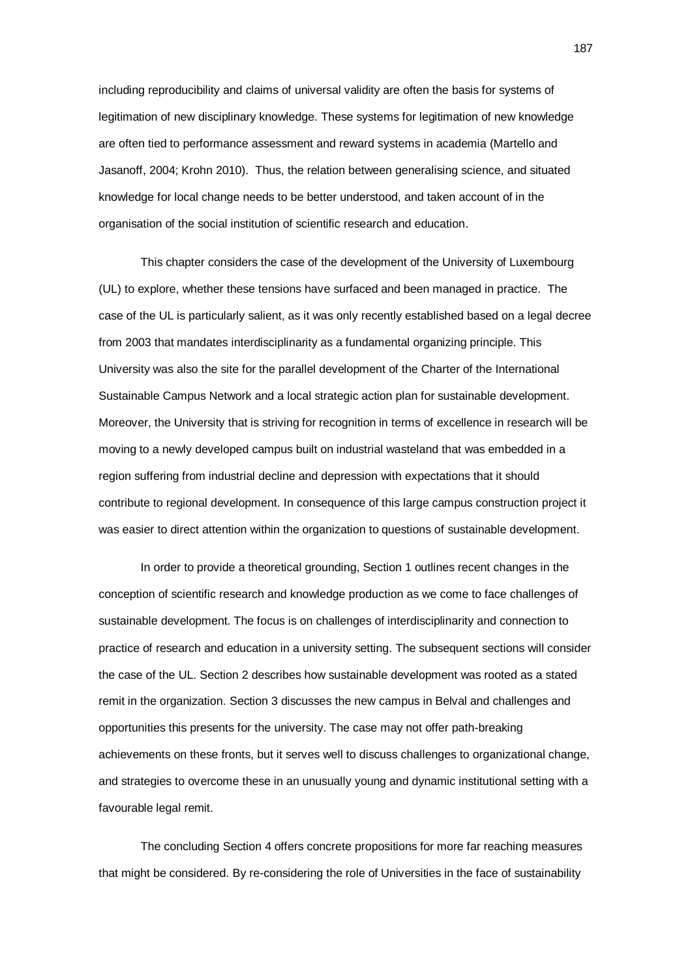including reproducibility and claims of universal validity are often the basis for systems of legitimation of new disciplinary knowledge. These systems for legitimation of new knowledge are often tied to performance assessment and reward systems in academia (Martello and Jasanoff, 2004; Krohn 2010). Thus, the relation between generalising science, and situated knowledge for local change needs to be better understood, and taken account of in the organisation of the social institution of scientific research and education.

This chapter considers the case of the development of the University of Luxembourg (UL) to explore, whether these tensions have surfaced and been managed in practice. The case of the UL is particularly salient, as it was only recently established based on a legal decree from 2003 that mandates interdisciplinarity as a fundamental organizing principle. This University was also the site for the parallel development of the Charter of the International Sustainable Campus Network and a local strategic action plan for sustainable development. Moreover, the University that is striving for recognition in terms of excellence in research will be moving to a newly developed campus built on industrial wasteland that was embedded in a region suffering from industrial decline and depression with expectations that it should contribute to regional development. In consequence of this large campus construction project it was easier to direct attention within the organization to questions of sustainable development.

In order to provide a theoretical grounding, Section 1 outlines recent changes in the conception of scientific research and knowledge production as we come to face challenges of sustainable development. The focus is on challenges of interdisciplinarity and connection to practice of research and education in a university setting. The subsequent sections will consider the case of the UL. Section 2 describes how sustainable development was rooted as a stated remit in the organization. Section 3 discusses the new campus in Belval and challenges and opportunities this presents for the university. The case may not offer path-breaking achievements on these fronts, but it serves well to discuss challenges to organizational change, and strategies to overcome these in an unusually young and dynamic institutional setting with a favourable legal remit.

The concluding Section 4 offers concrete propositions for more far reaching measures that might be considered. By re-considering the role of Universities in the face of sustainability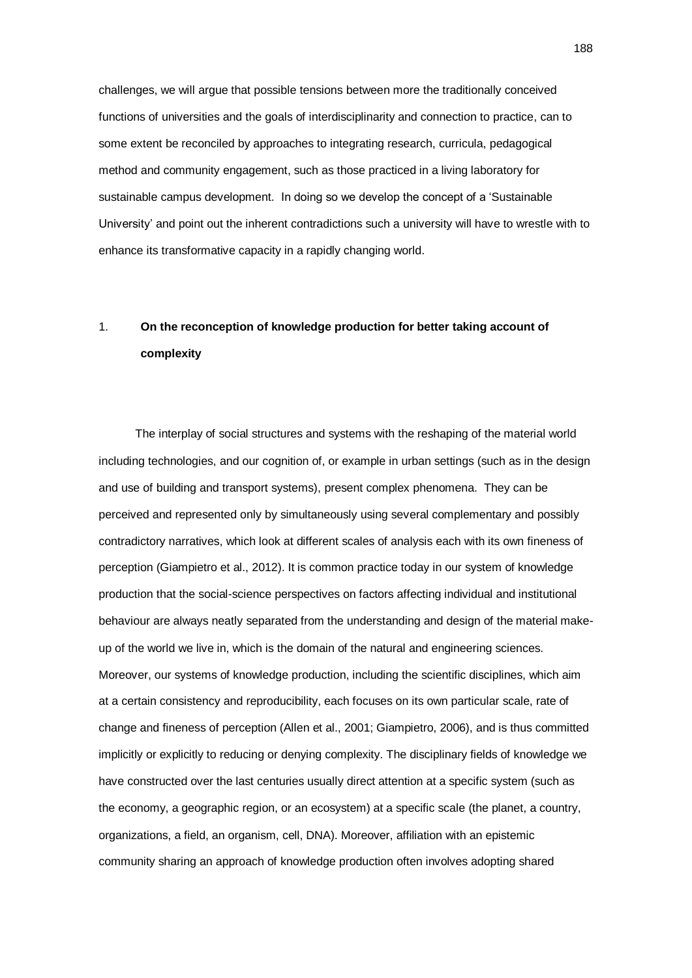challenges, we will argue that possible tensions between more the traditionally conceived functions of universities and the goals of interdisciplinarity and connection to practice, can to some extent be reconciled by approaches to integrating research, curricula, pedagogical method and community engagement, such as those practiced in a living laboratory for sustainable campus development. In doing so we develop the concept of a 'Sustainable University' and point out the inherent contradictions such a university will have to wrestle with to enhance its transformative capacity in a rapidly changing world.

# 1. **On the reconception of knowledge production for better taking account of complexity**

The interplay of social structures and systems with the reshaping of the material world including technologies, and our cognition of, or example in urban settings (such as in the design and use of building and transport systems), present complex phenomena. They can be perceived and represented only by simultaneously using several complementary and possibly contradictory narratives, which look at different scales of analysis each with its own fineness of perception (Giampietro et al., 2012). It is common practice today in our system of knowledge production that the social-science perspectives on factors affecting individual and institutional behaviour are always neatly separated from the understanding and design of the material makeup of the world we live in, which is the domain of the natural and engineering sciences. Moreover, our systems of knowledge production, including the scientific disciplines, which aim at a certain consistency and reproducibility, each focuses on its own particular scale, rate of change and fineness of perception (Allen et al., 2001; Giampietro, 2006), and is thus committed implicitly or explicitly to reducing or denying complexity. The disciplinary fields of knowledge we have constructed over the last centuries usually direct attention at a specific system (such as the economy, a geographic region, or an ecosystem) at a specific scale (the planet, a country, organizations, a field, an organism, cell, DNA). Moreover, affiliation with an epistemic community sharing an approach of knowledge production often involves adopting shared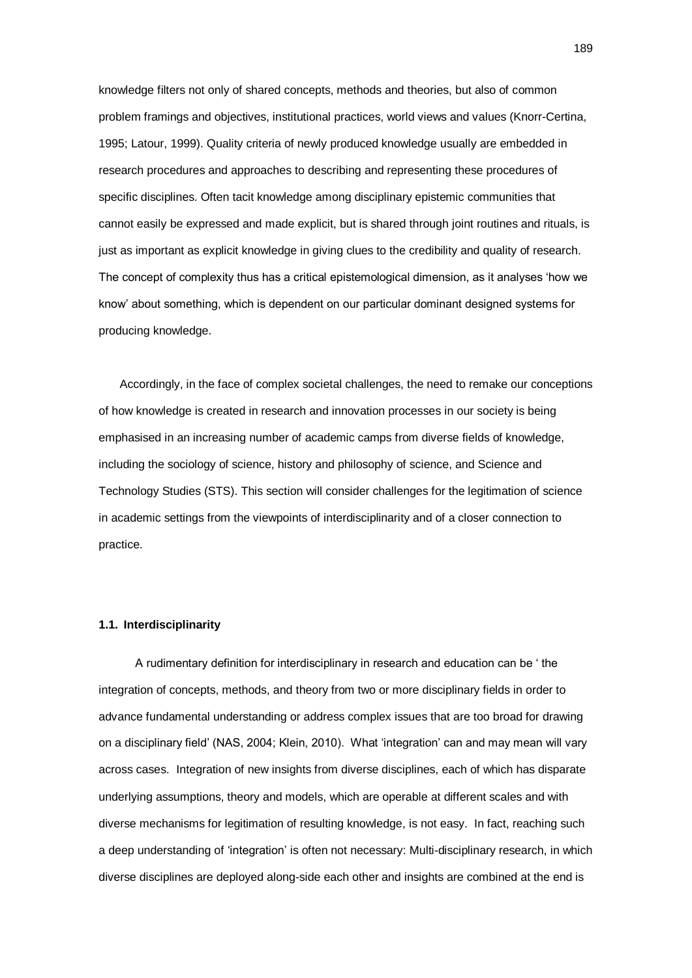knowledge filters not only of shared concepts, methods and theories, but also of common problem framings and objectives, institutional practices, world views and values (Knorr-Certina, 1995; Latour, 1999). Quality criteria of newly produced knowledge usually are embedded in research procedures and approaches to describing and representing these procedures of specific disciplines. Often tacit knowledge among disciplinary epistemic communities that cannot easily be expressed and made explicit, but is shared through joint routines and rituals, is just as important as explicit knowledge in giving clues to the credibility and quality of research. The concept of complexity thus has a critical epistemological dimension, as it analyses 'how we know' about something, which is dependent on our particular dominant designed systems for producing knowledge.

Accordingly, in the face of complex societal challenges, the need to remake our conceptions of how knowledge is created in research and innovation processes in our society is being emphasised in an increasing number of academic camps from diverse fields of knowledge, including the sociology of science, history and philosophy of science, and Science and Technology Studies (STS). This section will consider challenges for the legitimation of science in academic settings from the viewpoints of interdisciplinarity and of a closer connection to practice.

#### **1.1. Interdisciplinarity**

A rudimentary definition for interdisciplinary in research and education can be ' the integration of concepts, methods, and theory from two or more disciplinary fields in order to advance fundamental understanding or address complex issues that are too broad for drawing on a disciplinary field' (NAS, 2004; Klein, 2010). What 'integration' can and may mean will vary across cases. Integration of new insights from diverse disciplines, each of which has disparate underlying assumptions, theory and models, which are operable at different scales and with diverse mechanisms for legitimation of resulting knowledge, is not easy. In fact, reaching such a deep understanding of 'integration' is often not necessary: Multi-disciplinary research, in which diverse disciplines are deployed along-side each other and insights are combined at the end is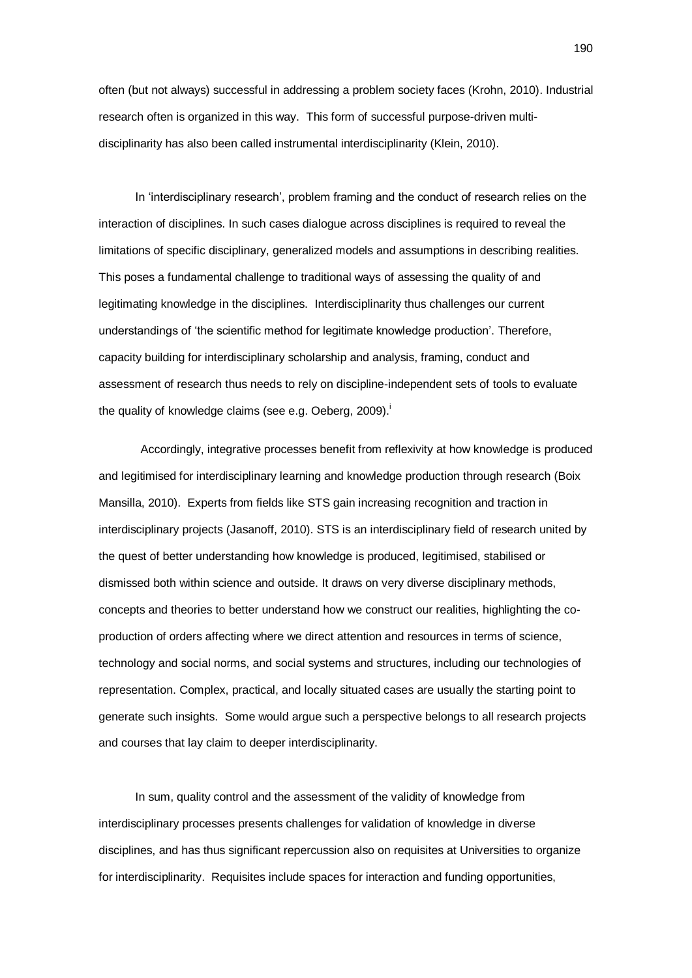often (but not always) successful in addressing a problem society faces (Krohn, 2010). Industrial research often is organized in this way. This form of successful purpose-driven multidisciplinarity has also been called instrumental interdisciplinarity (Klein, 2010).

In 'interdisciplinary research', problem framing and the conduct of research relies on the interaction of disciplines. In such cases dialogue across disciplines is required to reveal the limitations of specific disciplinary, generalized models and assumptions in describing realities. This poses a fundamental challenge to traditional ways of assessing the quality of and legitimating knowledge in the disciplines. Interdisciplinarity thus challenges our current understandings of 'the scientific method for legitimate knowledge production'. Therefore, capacity building for interdisciplinary scholarship and analysis, framing, conduct and assessment of research thus needs to rely on discipline-independent sets of tools to evaluate the quality of knowledge claims (see e.g. Oeberg, 2009).

Accordingly, integrative processes benefit from reflexivity at how knowledge is produced and legitimised for interdisciplinary learning and knowledge production through research (Boix Mansilla, 2010). Experts from fields like STS gain increasing recognition and traction in interdisciplinary projects (Jasanoff, 2010). STS is an interdisciplinary field of research united by the quest of better understanding how knowledge is produced, legitimised, stabilised or dismissed both within science and outside. It draws on very diverse disciplinary methods, concepts and theories to better understand how we construct our realities, highlighting the coproduction of orders affecting where we direct attention and resources in terms of science, technology and social norms, and social systems and structures, including our technologies of representation. Complex, practical, and locally situated cases are usually the starting point to generate such insights. Some would argue such a perspective belongs to all research projects and courses that lay claim to deeper interdisciplinarity.

In sum, quality control and the assessment of the validity of knowledge from interdisciplinary processes presents challenges for validation of knowledge in diverse disciplines, and has thus significant repercussion also on requisites at Universities to organize for interdisciplinarity. Requisites include spaces for interaction and funding opportunities,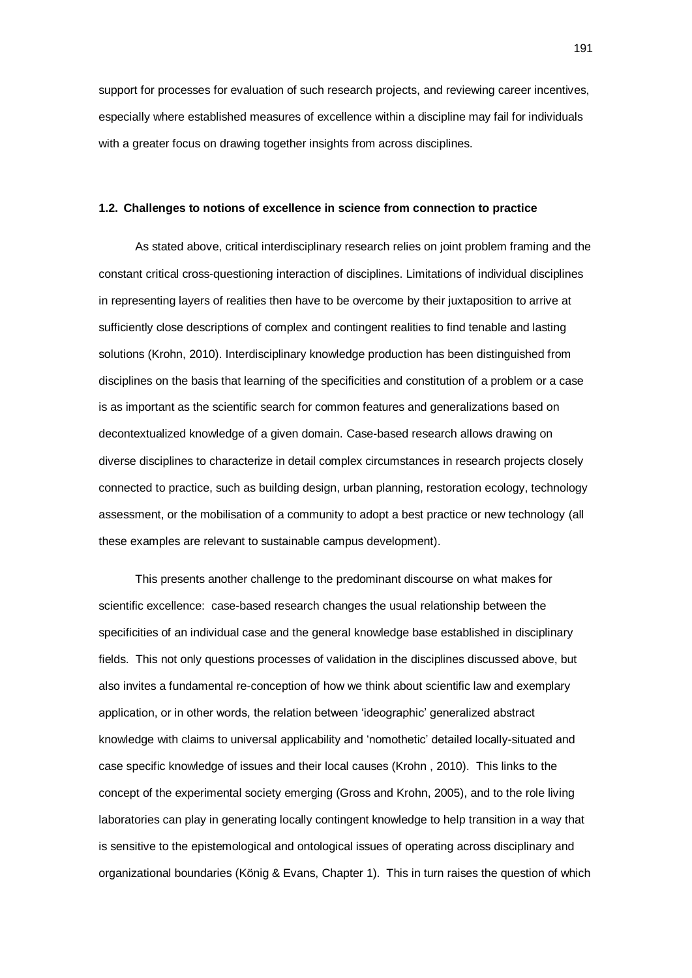support for processes for evaluation of such research projects, and reviewing career incentives, especially where established measures of excellence within a discipline may fail for individuals with a greater focus on drawing together insights from across disciplines.

### **1.2. Challenges to notions of excellence in science from connection to practice**

As stated above, critical interdisciplinary research relies on joint problem framing and the constant critical cross-questioning interaction of disciplines. Limitations of individual disciplines in representing layers of realities then have to be overcome by their juxtaposition to arrive at sufficiently close descriptions of complex and contingent realities to find tenable and lasting solutions (Krohn, 2010). Interdisciplinary knowledge production has been distinguished from disciplines on the basis that learning of the specificities and constitution of a problem or a case is as important as the scientific search for common features and generalizations based on decontextualized knowledge of a given domain. Case-based research allows drawing on diverse disciplines to characterize in detail complex circumstances in research projects closely connected to practice, such as building design, urban planning, restoration ecology, technology assessment, or the mobilisation of a community to adopt a best practice or new technology (all these examples are relevant to sustainable campus development).

This presents another challenge to the predominant discourse on what makes for scientific excellence: case-based research changes the usual relationship between the specificities of an individual case and the general knowledge base established in disciplinary fields. This not only questions processes of validation in the disciplines discussed above, but also invites a fundamental re-conception of how we think about scientific law and exemplary application, or in other words, the relation between 'ideographic' generalized abstract knowledge with claims to universal applicability and 'nomothetic' detailed locally-situated and case specific knowledge of issues and their local causes (Krohn , 2010). This links to the concept of the experimental society emerging (Gross and Krohn, 2005), and to the role living laboratories can play in generating locally contingent knowledge to help transition in a way that is sensitive to the epistemological and ontological issues of operating across disciplinary and organizational boundaries (König & Evans, Chapter 1). This in turn raises the question of which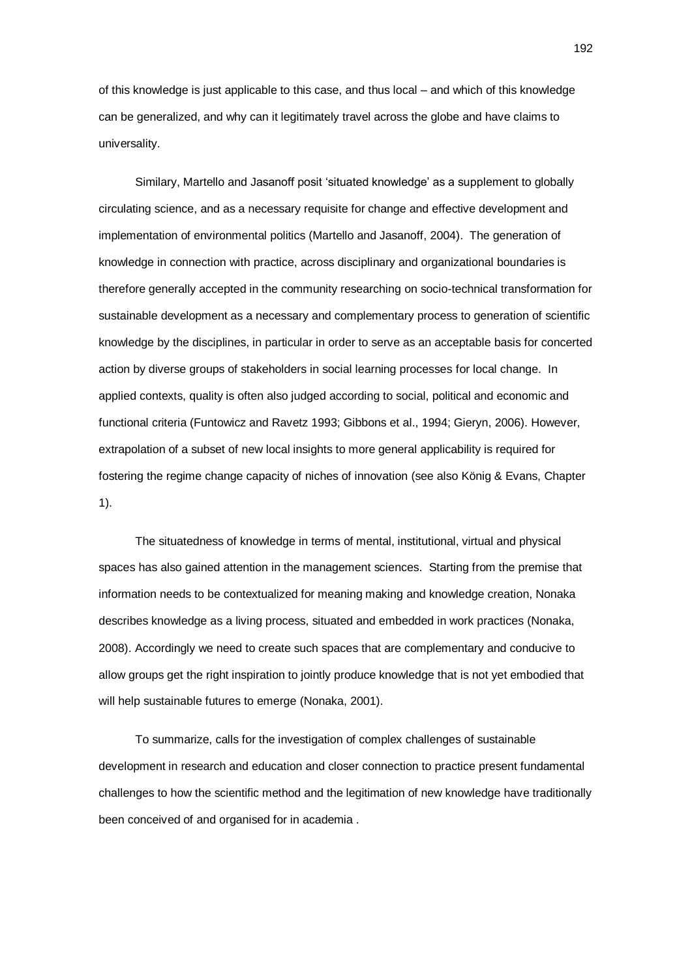of this knowledge is just applicable to this case, and thus local – and which of this knowledge can be generalized, and why can it legitimately travel across the globe and have claims to universality.

Similary, Martello and Jasanoff posit 'situated knowledge' as a supplement to globally circulating science, and as a necessary requisite for change and effective development and implementation of environmental politics (Martello and Jasanoff, 2004). The generation of knowledge in connection with practice, across disciplinary and organizational boundaries is therefore generally accepted in the community researching on socio-technical transformation for sustainable development as a necessary and complementary process to generation of scientific knowledge by the disciplines, in particular in order to serve as an acceptable basis for concerted action by diverse groups of stakeholders in social learning processes for local change. In applied contexts, quality is often also judged according to social, political and economic and functional criteria (Funtowicz and Ravetz 1993; Gibbons et al., 1994; Gieryn, 2006). However, extrapolation of a subset of new local insights to more general applicability is required for fostering the regime change capacity of niches of innovation (see also König & Evans, Chapter 1).

The situatedness of knowledge in terms of mental, institutional, virtual and physical spaces has also gained attention in the management sciences. Starting from the premise that information needs to be contextualized for meaning making and knowledge creation, Nonaka describes knowledge as a living process, situated and embedded in work practices (Nonaka, 2008). Accordingly we need to create such spaces that are complementary and conducive to allow groups get the right inspiration to jointly produce knowledge that is not yet embodied that will help sustainable futures to emerge (Nonaka, 2001).

To summarize, calls for the investigation of complex challenges of sustainable development in research and education and closer connection to practice present fundamental challenges to how the scientific method and the legitimation of new knowledge have traditionally been conceived of and organised for in academia .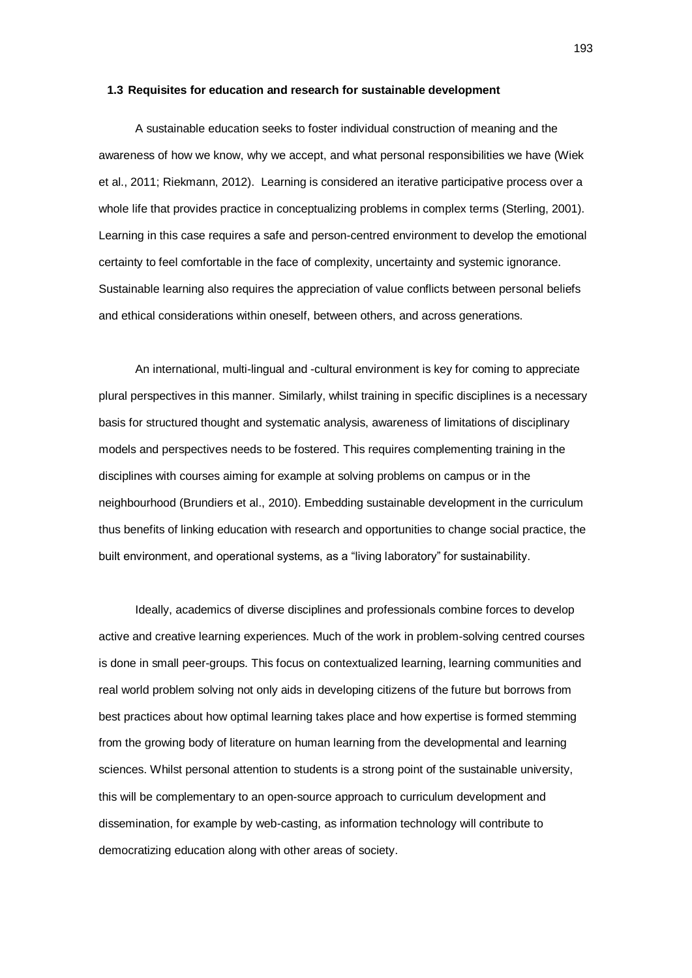#### **1.3 Requisites for education and research for sustainable development**

A sustainable education seeks to foster individual construction of meaning and the awareness of how we know, why we accept, and what personal responsibilities we have (Wiek et al., 2011; Riekmann, 2012). Learning is considered an iterative participative process over a whole life that provides practice in conceptualizing problems in complex terms (Sterling, 2001). Learning in this case requires a safe and person-centred environment to develop the emotional certainty to feel comfortable in the face of complexity, uncertainty and systemic ignorance. Sustainable learning also requires the appreciation of value conflicts between personal beliefs and ethical considerations within oneself, between others, and across generations.

An international, multi-lingual and -cultural environment is key for coming to appreciate plural perspectives in this manner. Similarly, whilst training in specific disciplines is a necessary basis for structured thought and systematic analysis, awareness of limitations of disciplinary models and perspectives needs to be fostered. This requires complementing training in the disciplines with courses aiming for example at solving problems on campus or in the neighbourhood (Brundiers et al., 2010). Embedding sustainable development in the curriculum thus benefits of linking education with research and opportunities to change social practice, the built environment, and operational systems, as a "living laboratory" for sustainability.

Ideally, academics of diverse disciplines and professionals combine forces to develop active and creative learning experiences. Much of the work in problem-solving centred courses is done in small peer-groups. This focus on contextualized learning, learning communities and real world problem solving not only aids in developing citizens of the future but borrows from best practices about how optimal learning takes place and how expertise is formed stemming from the growing body of literature on human learning from the developmental and learning sciences. Whilst personal attention to students is a strong point of the sustainable university, this will be complementary to an open-source approach to curriculum development and dissemination, for example by web-casting, as information technology will contribute to democratizing education along with other areas of society.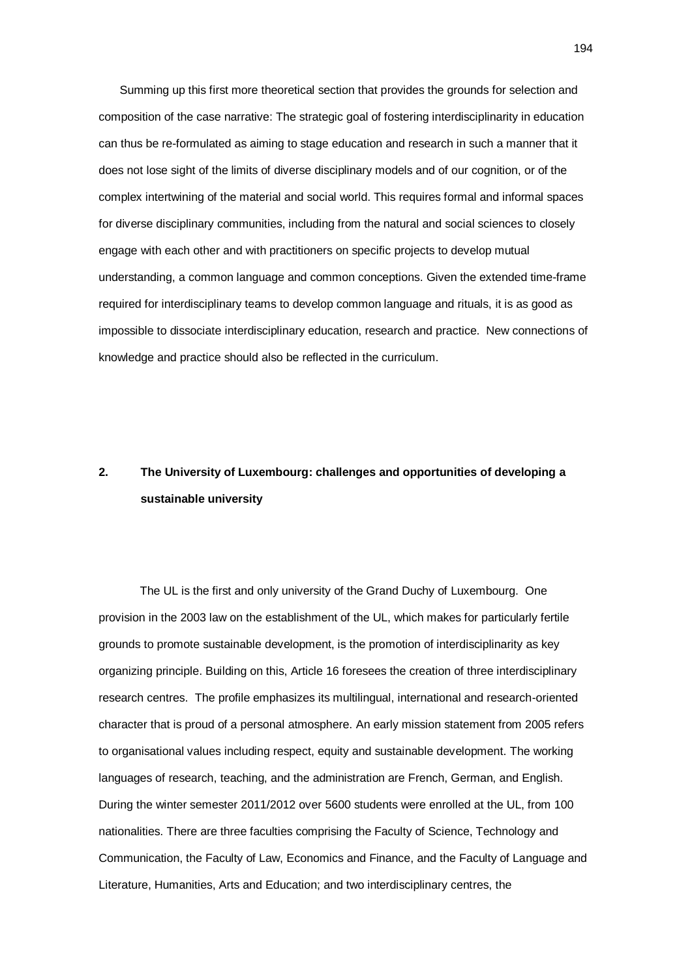Summing up this first more theoretical section that provides the grounds for selection and composition of the case narrative: The strategic goal of fostering interdisciplinarity in education can thus be re-formulated as aiming to stage education and research in such a manner that it does not lose sight of the limits of diverse disciplinary models and of our cognition, or of the complex intertwining of the material and social world. This requires formal and informal spaces for diverse disciplinary communities, including from the natural and social sciences to closely engage with each other and with practitioners on specific projects to develop mutual understanding, a common language and common conceptions. Given the extended time-frame required for interdisciplinary teams to develop common language and rituals, it is as good as impossible to dissociate interdisciplinary education, research and practice. New connections of knowledge and practice should also be reflected in the curriculum.

# **2. The University of Luxembourg: challenges and opportunities of developing a sustainable university**

The UL is the first and only university of the Grand Duchy of Luxembourg. One provision in the 2003 law on the establishment of the UL, which makes for particularly fertile grounds to promote sustainable development, is the promotion of interdisciplinarity as key organizing principle. Building on this, Article 16 foresees the creation of three interdisciplinary research centres. The profile emphasizes its multilingual, international and research-oriented character that is proud of a personal atmosphere. An early mission statement from 2005 refers to organisational values including respect, equity and sustainable development. The working languages of research, teaching, and the administration are French, German, and English. During the winter semester 2011/2012 over 5600 students were enrolled at the UL, from 100 nationalities. There are three faculties comprising the Faculty of Science, Technology and Communication, the Faculty of Law, Economics and Finance, and the Faculty of Language and Literature, Humanities, Arts and Education; and two interdisciplinary centres, the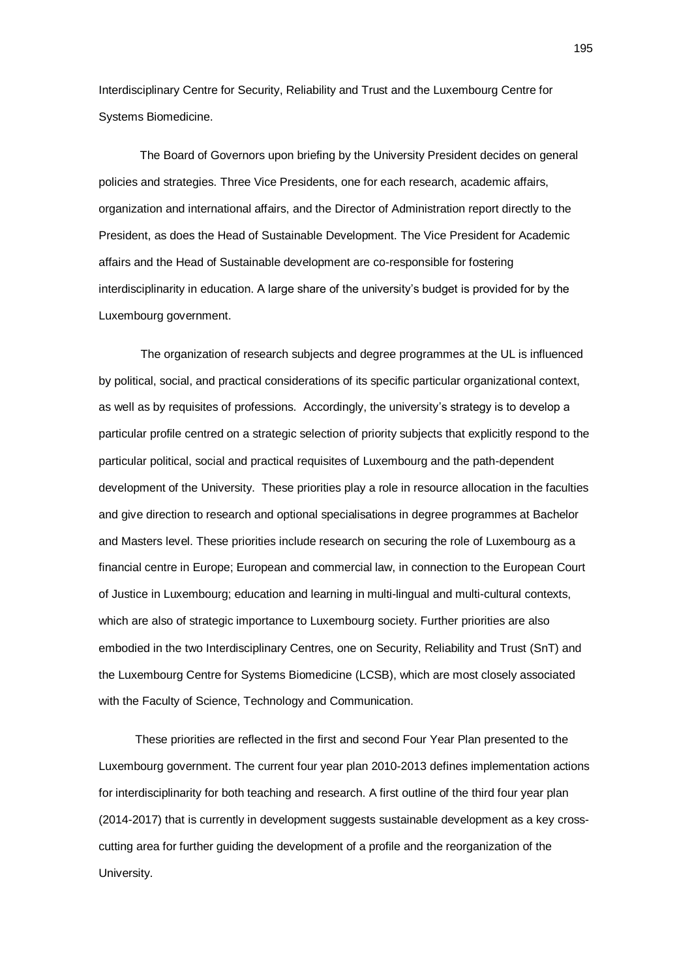Interdisciplinary Centre for Security, Reliability and Trust and the Luxembourg Centre for Systems Biomedicine.

The Board of Governors upon briefing by the University President decides on general policies and strategies. Three Vice Presidents, one for each research, academic affairs, organization and international affairs, and the Director of Administration report directly to the President, as does the Head of Sustainable Development. The Vice President for Academic affairs and the Head of Sustainable development are co-responsible for fostering interdisciplinarity in education. A large share of the university's budget is provided for by the Luxembourg government.

The organization of research subjects and degree programmes at the UL is influenced by political, social, and practical considerations of its specific particular organizational context, as well as by requisites of professions. Accordingly, the university's strategy is to develop a particular profile centred on a strategic selection of priority subjects that explicitly respond to the particular political, social and practical requisites of Luxembourg and the path-dependent development of the University. These priorities play a role in resource allocation in the faculties and give direction to research and optional specialisations in degree programmes at Bachelor and Masters level. These priorities include research on securing the role of Luxembourg as a financial centre in Europe; European and commercial law, in connection to the European Court of Justice in Luxembourg; education and learning in multi-lingual and multi-cultural contexts, which are also of strategic importance to Luxembourg society. Further priorities are also embodied in the two Interdisciplinary Centres, one on Security, Reliability and Trust (SnT) and the Luxembourg Centre for Systems Biomedicine (LCSB), which are most closely associated with the Faculty of Science, Technology and Communication.

These priorities are reflected in the first and second Four Year Plan presented to the Luxembourg government. The current four year plan 2010-2013 defines implementation actions for interdisciplinarity for both teaching and research. A first outline of the third four year plan (2014-2017) that is currently in development suggests sustainable development as a key crosscutting area for further guiding the development of a profile and the reorganization of the University.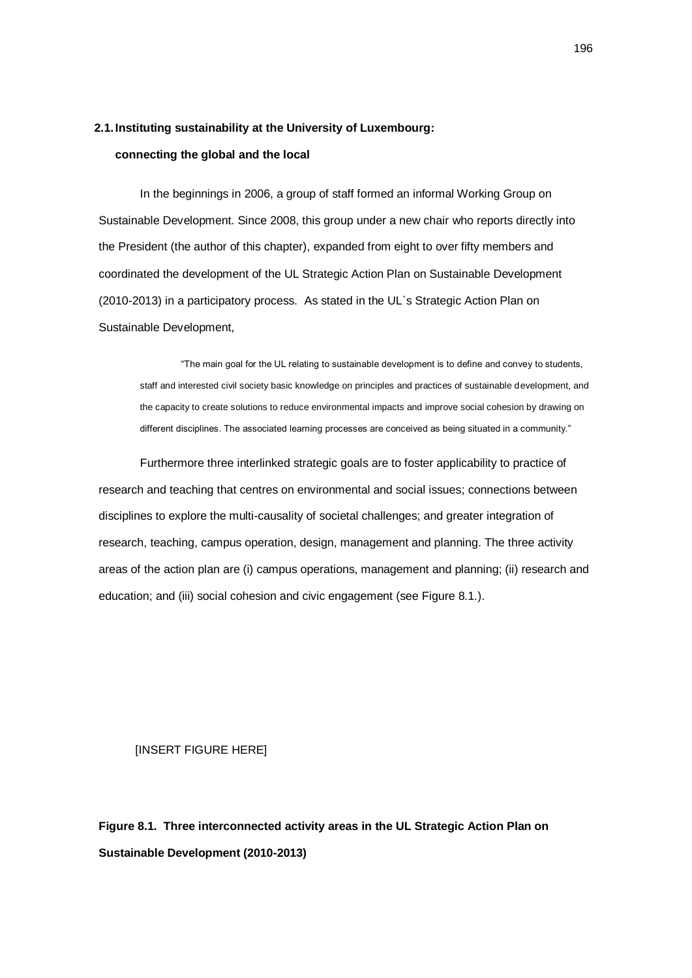# **2.1.Instituting sustainability at the University of Luxembourg: connecting the global and the local**

In the beginnings in 2006, a group of staff formed an informal Working Group on Sustainable Development. Since 2008, this group under a new chair who reports directly into the President (the author of this chapter), expanded from eight to over fifty members and coordinated the development of the UL Strategic Action Plan on Sustainable Development (2010-2013) in a participatory process. As stated in the UL`s Strategic Action Plan on Sustainable Development,

"The main goal for the UL relating to sustainable development is to define and convey to students, staff and interested civil society basic knowledge on principles and practices of sustainable development, and the capacity to create solutions to reduce environmental impacts and improve social cohesion by drawing on different disciplines. The associated learning processes are conceived as being situated in a community."

Furthermore three interlinked strategic goals are to foster applicability to practice of research and teaching that centres on environmental and social issues; connections between disciplines to explore the multi-causality of societal challenges; and greater integration of research, teaching, campus operation, design, management and planning. The three activity areas of the action plan are (i) campus operations, management and planning; (ii) research and education; and (iii) social cohesion and civic engagement (see Figure 8.1.).

### [INSERT FIGURE HERE]

**Figure 8.1. Three interconnected activity areas in the UL Strategic Action Plan on Sustainable Development (2010-2013)**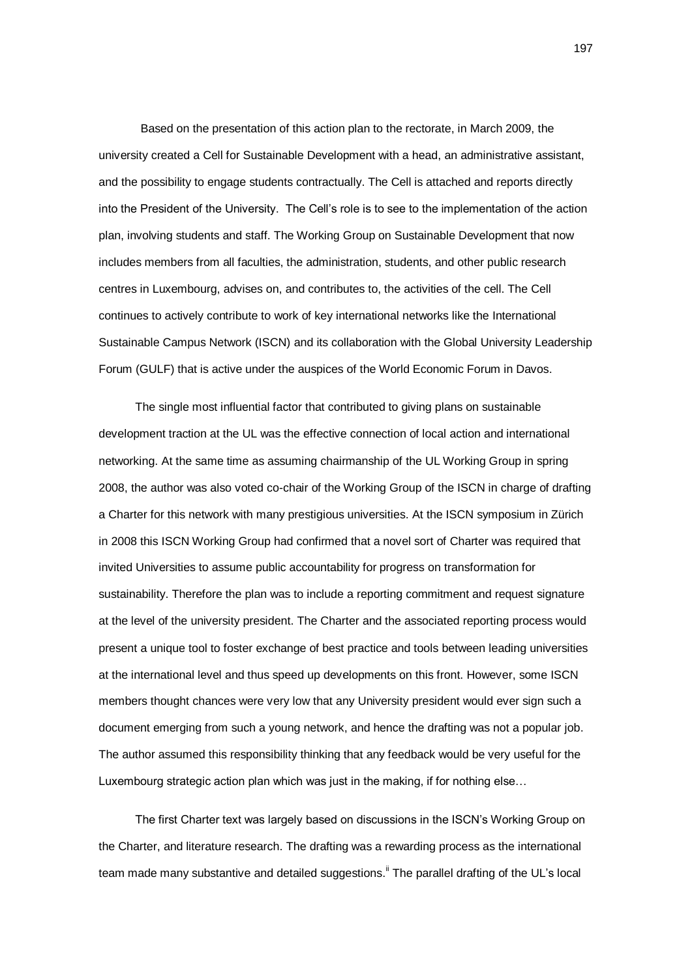Based on the presentation of this action plan to the rectorate, in March 2009, the university created a Cell for Sustainable Development with a head, an administrative assistant, and the possibility to engage students contractually. The Cell is attached and reports directly into the President of the University. The Cell's role is to see to the implementation of the action plan, involving students and staff. The Working Group on Sustainable Development that now includes members from all faculties, the administration, students, and other public research centres in Luxembourg, advises on, and contributes to, the activities of the cell. The Cell continues to actively contribute to work of key international networks like the International Sustainable Campus Network (ISCN) and its collaboration with the Global University Leadership Forum (GULF) that is active under the auspices of the World Economic Forum in Davos.

The single most influential factor that contributed to giving plans on sustainable development traction at the UL was the effective connection of local action and international networking. At the same time as assuming chairmanship of the UL Working Group in spring 2008, the author was also voted co-chair of the Working Group of the ISCN in charge of drafting a Charter for this network with many prestigious universities. At the ISCN symposium in Zürich in 2008 this ISCN Working Group had confirmed that a novel sort of Charter was required that invited Universities to assume public accountability for progress on transformation for sustainability. Therefore the plan was to include a reporting commitment and request signature at the level of the university president. The Charter and the associated reporting process would present a unique tool to foster exchange of best practice and tools between leading universities at the international level and thus speed up developments on this front. However, some ISCN members thought chances were very low that any University president would ever sign such a document emerging from such a young network, and hence the drafting was not a popular job. The author assumed this responsibility thinking that any feedback would be very useful for the Luxembourg strategic action plan which was just in the making, if for nothing else…

The first Charter text was largely based on discussions in the ISCN's Working Group on the Charter, and literature research. The drafting was a rewarding process as the international team made many substantive and detailed suggestions.<sup>ii</sup> The parallel drafting of the UL's local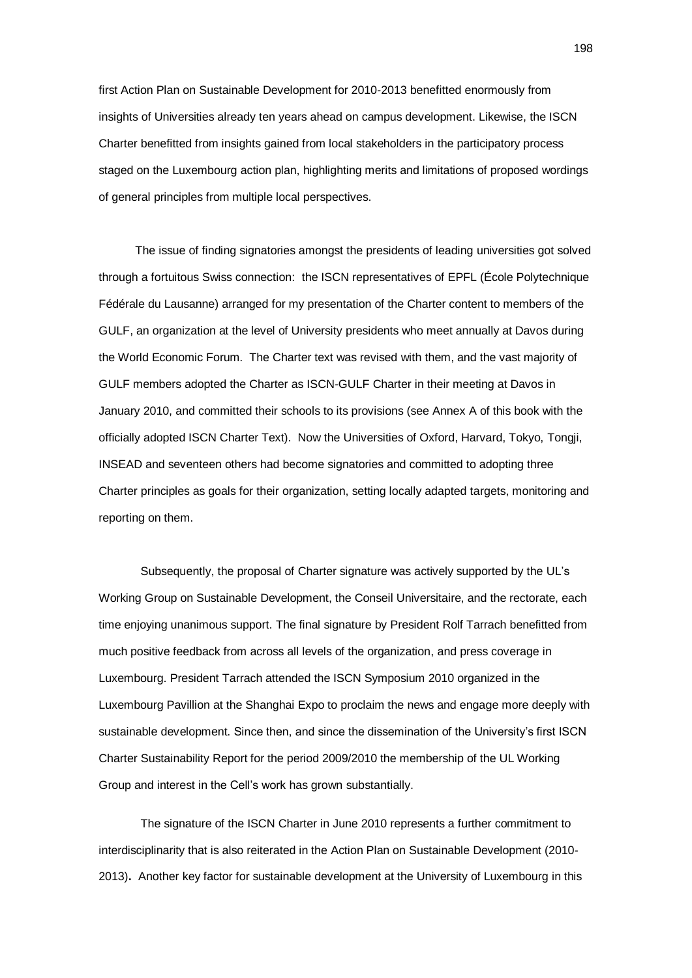first Action Plan on Sustainable Development for 2010-2013 benefitted enormously from insights of Universities already ten years ahead on campus development. Likewise, the ISCN Charter benefitted from insights gained from local stakeholders in the participatory process staged on the Luxembourg action plan, highlighting merits and limitations of proposed wordings of general principles from multiple local perspectives.

The issue of finding signatories amongst the presidents of leading universities got solved through a fortuitous Swiss connection: the ISCN representatives of EPFL (École Polytechnique Fédérale du Lausanne) arranged for my presentation of the Charter content to members of the GULF, an organization at the level of University presidents who meet annually at Davos during the World Economic Forum. The Charter text was revised with them, and the vast majority of GULF members adopted the Charter as ISCN-GULF Charter in their meeting at Davos in January 2010, and committed their schools to its provisions (see Annex A of this book with the officially adopted ISCN Charter Text). Now the Universities of Oxford, Harvard, Tokyo, Tongji, INSEAD and seventeen others had become signatories and committed to adopting three Charter principles as goals for their organization, setting locally adapted targets, monitoring and reporting on them.

Subsequently, the proposal of Charter signature was actively supported by the UL's Working Group on Sustainable Development, the Conseil Universitaire, and the rectorate, each time enjoying unanimous support. The final signature by President Rolf Tarrach benefitted from much positive feedback from across all levels of the organization, and press coverage in Luxembourg. President Tarrach attended the ISCN Symposium 2010 organized in the Luxembourg Pavillion at the Shanghai Expo to proclaim the news and engage more deeply with sustainable development. Since then, and since the dissemination of the University's first ISCN Charter Sustainability Report for the period 2009/2010 the membership of the UL Working Group and interest in the Cell's work has grown substantially.

The signature of the ISCN Charter in June 2010 represents a further commitment to interdisciplinarity that is also reiterated in the Action Plan on Sustainable Development (2010- 2013)**.** Another key factor for sustainable development at the University of Luxembourg in this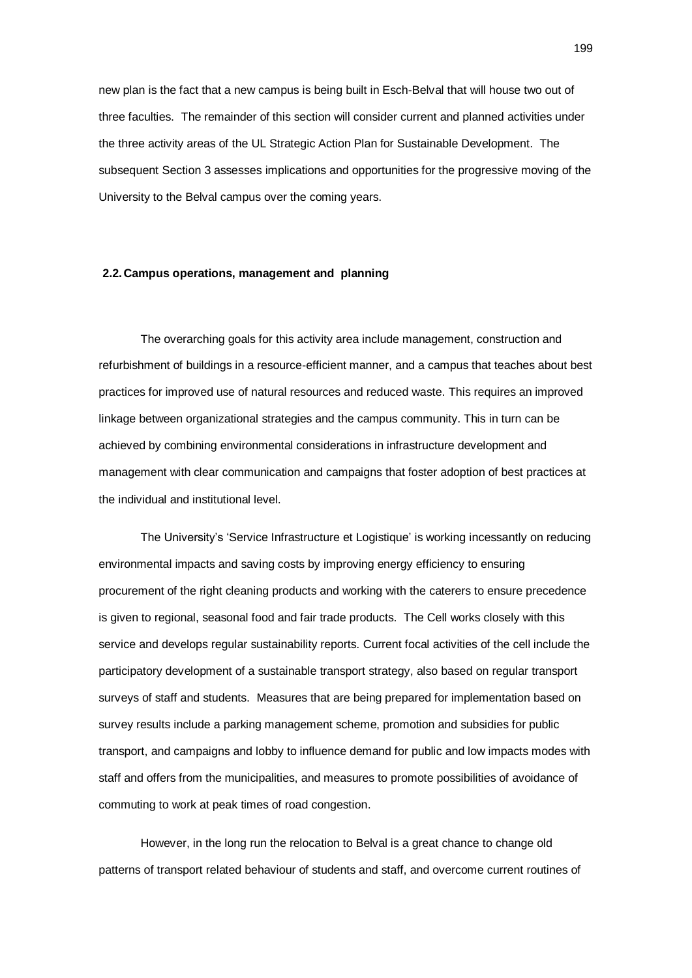new plan is the fact that a new campus is being built in Esch-Belval that will house two out of three faculties. The remainder of this section will consider current and planned activities under the three activity areas of the UL Strategic Action Plan for Sustainable Development. The subsequent Section 3 assesses implications and opportunities for the progressive moving of the University to the Belval campus over the coming years.

### **2.2.Campus operations, management and planning**

The overarching goals for this activity area include management, construction and refurbishment of buildings in a resource-efficient manner, and a campus that teaches about best practices for improved use of natural resources and reduced waste. This requires an improved linkage between organizational strategies and the campus community. This in turn can be achieved by combining environmental considerations in infrastructure development and management with clear communication and campaigns that foster adoption of best practices at the individual and institutional level.

The University's 'Service Infrastructure et Logistique' is working incessantly on reducing environmental impacts and saving costs by improving energy efficiency to ensuring procurement of the right cleaning products and working with the caterers to ensure precedence is given to regional, seasonal food and fair trade products. The Cell works closely with this service and develops regular sustainability reports. Current focal activities of the cell include the participatory development of a sustainable transport strategy, also based on regular transport surveys of staff and students. Measures that are being prepared for implementation based on survey results include a parking management scheme, promotion and subsidies for public transport, and campaigns and lobby to influence demand for public and low impacts modes with staff and offers from the municipalities, and measures to promote possibilities of avoidance of commuting to work at peak times of road congestion.

However, in the long run the relocation to Belval is a great chance to change old patterns of transport related behaviour of students and staff, and overcome current routines of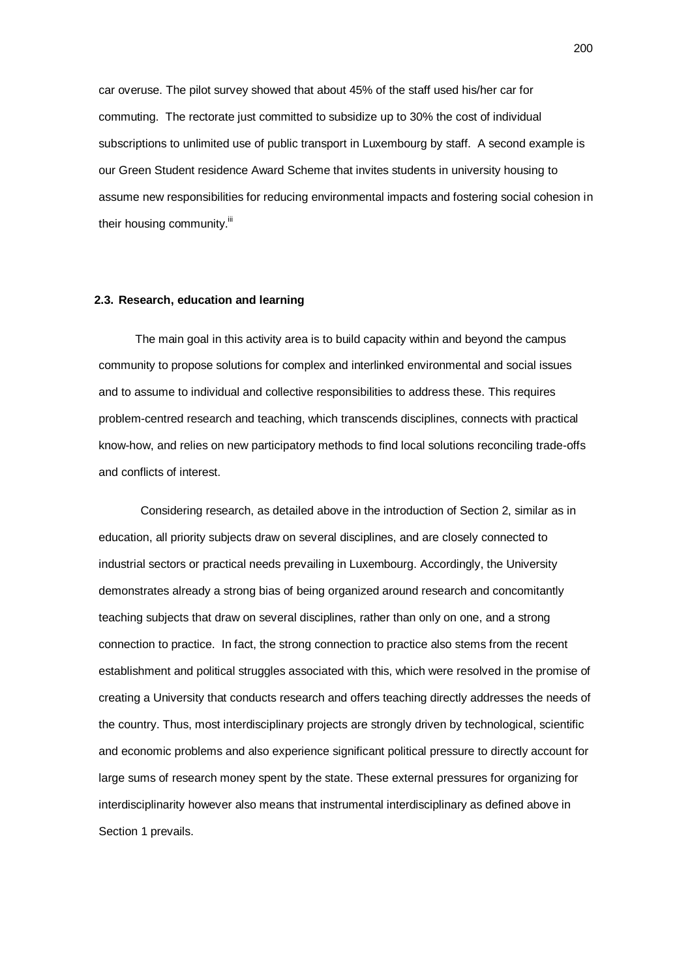car overuse. The pilot survey showed that about 45% of the staff used his/her car for commuting. The rectorate just committed to subsidize up to 30% the cost of individual subscriptions to unlimited use of public transport in Luxembourg by staff. A second example is our Green Student residence Award Scheme that invites students in university housing to assume new responsibilities for reducing environmental impacts and fostering social cohesion in their housing community.<sup>iii</sup>

### **2.3. Research, education and learning**

The main goal in this activity area is to build capacity within and beyond the campus community to propose solutions for complex and interlinked environmental and social issues and to assume to individual and collective responsibilities to address these. This requires problem-centred research and teaching, which transcends disciplines, connects with practical know-how, and relies on new participatory methods to find local solutions reconciling trade-offs and conflicts of interest.

Considering research, as detailed above in the introduction of Section 2, similar as in education, all priority subjects draw on several disciplines, and are closely connected to industrial sectors or practical needs prevailing in Luxembourg. Accordingly, the University demonstrates already a strong bias of being organized around research and concomitantly teaching subjects that draw on several disciplines, rather than only on one, and a strong connection to practice. In fact, the strong connection to practice also stems from the recent establishment and political struggles associated with this, which were resolved in the promise of creating a University that conducts research and offers teaching directly addresses the needs of the country. Thus, most interdisciplinary projects are strongly driven by technological, scientific and economic problems and also experience significant political pressure to directly account for large sums of research money spent by the state. These external pressures for organizing for interdisciplinarity however also means that instrumental interdisciplinary as defined above in Section 1 prevails.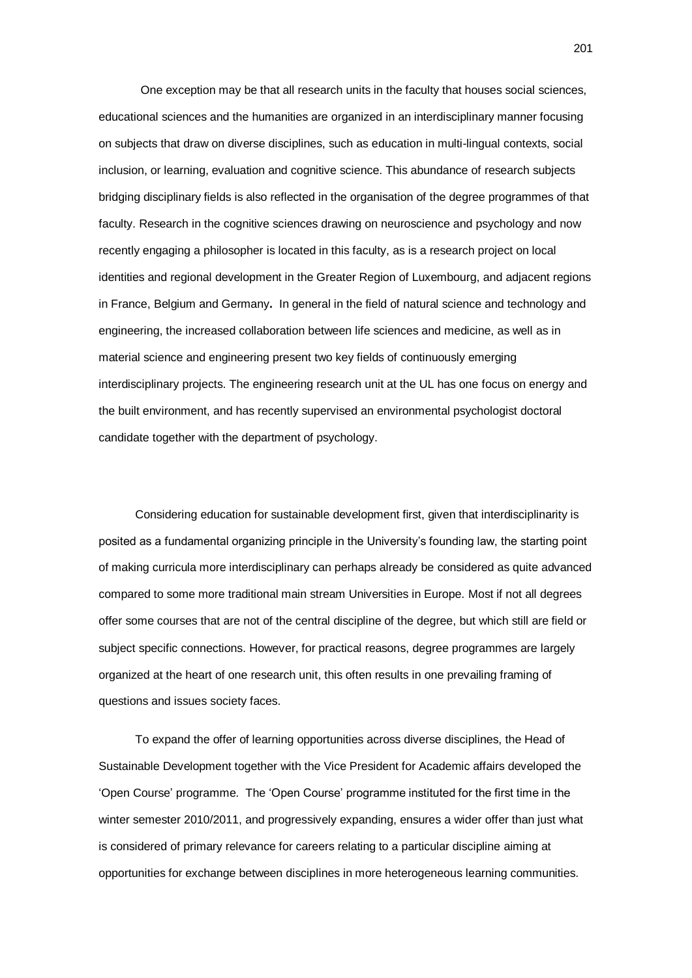One exception may be that all research units in the faculty that houses social sciences, educational sciences and the humanities are organized in an interdisciplinary manner focusing on subjects that draw on diverse disciplines, such as education in multi-lingual contexts, social inclusion, or learning, evaluation and cognitive science. This abundance of research subjects bridging disciplinary fields is also reflected in the organisation of the degree programmes of that faculty. Research in the cognitive sciences drawing on neuroscience and psychology and now recently engaging a philosopher is located in this faculty, as is a research project on local identities and regional development in the Greater Region of Luxembourg, and adjacent regions in France, Belgium and Germany**.** In general in the field of natural science and technology and engineering, the increased collaboration between life sciences and medicine, as well as in material science and engineering present two key fields of continuously emerging interdisciplinary projects. The engineering research unit at the UL has one focus on energy and the built environment, and has recently supervised an environmental psychologist doctoral candidate together with the department of psychology.

Considering education for sustainable development first, given that interdisciplinarity is posited as a fundamental organizing principle in the University's founding law, the starting point of making curricula more interdisciplinary can perhaps already be considered as quite advanced compared to some more traditional main stream Universities in Europe. Most if not all degrees offer some courses that are not of the central discipline of the degree, but which still are field or subject specific connections. However, for practical reasons, degree programmes are largely organized at the heart of one research unit, this often results in one prevailing framing of questions and issues society faces.

To expand the offer of learning opportunities across diverse disciplines, the Head of Sustainable Development together with the Vice President for Academic affairs developed the 'Open Course' programme. The 'Open Course' programme instituted for the first time in the winter semester 2010/2011, and progressively expanding, ensures a wider offer than just what is considered of primary relevance for careers relating to a particular discipline aiming at opportunities for exchange between disciplines in more heterogeneous learning communities.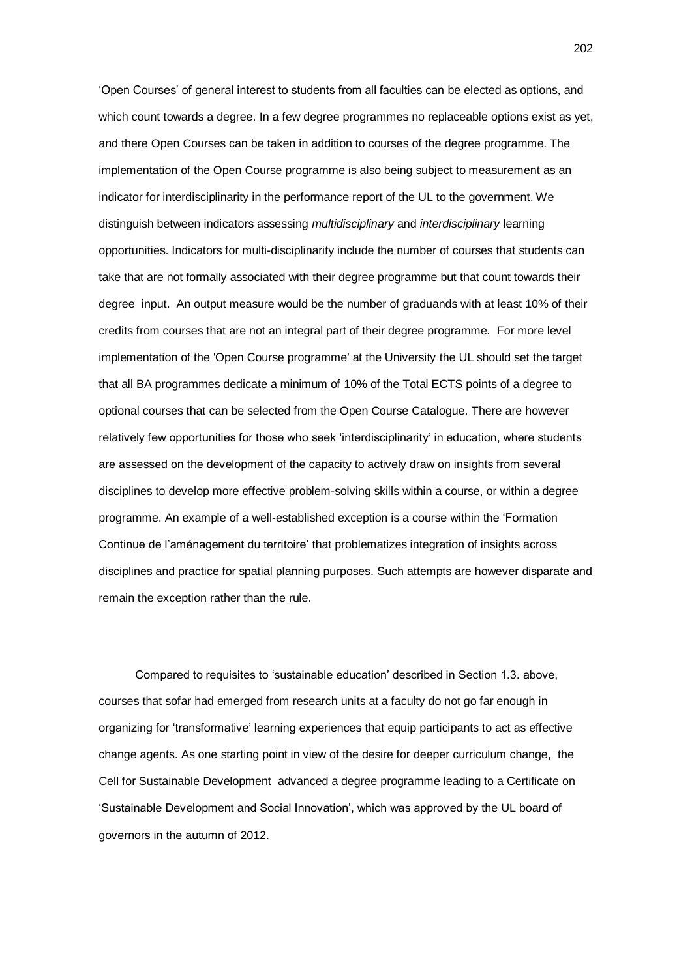'Open Courses' of general interest to students from all faculties can be elected as options, and which count towards a degree. In a few degree programmes no replaceable options exist as yet, and there Open Courses can be taken in addition to courses of the degree programme. The implementation of the Open Course programme is also being subject to measurement as an indicator for interdisciplinarity in the performance report of the UL to the government. We distinguish between indicators assessing *multidisciplinary* and *interdisciplinary* learning opportunities. Indicators for multi-disciplinarity include the number of courses that students can take that are not formally associated with their degree programme but that count towards their degree input. An output measure would be the number of graduands with at least 10% of their credits from courses that are not an integral part of their degree programme. For more level implementation of the 'Open Course programme' at the University the UL should set the target that all BA programmes dedicate a minimum of 10% of the Total ECTS points of a degree to optional courses that can be selected from the Open Course Catalogue. There are however relatively few opportunities for those who seek 'interdisciplinarity' in education, where students are assessed on the development of the capacity to actively draw on insights from several disciplines to develop more effective problem-solving skills within a course, or within a degree programme. An example of a well-established exception is a course within the 'Formation Continue de l'aménagement du territoire' that problematizes integration of insights across disciplines and practice for spatial planning purposes. Such attempts are however disparate and remain the exception rather than the rule.

Compared to requisites to 'sustainable education' described in Section 1.3. above, courses that sofar had emerged from research units at a faculty do not go far enough in organizing for 'transformative' learning experiences that equip participants to act as effective change agents. As one starting point in view of the desire for deeper curriculum change, the Cell for Sustainable Development advanced a degree programme leading to a Certificate on 'Sustainable Development and Social Innovation', which was approved by the UL board of governors in the autumn of 2012.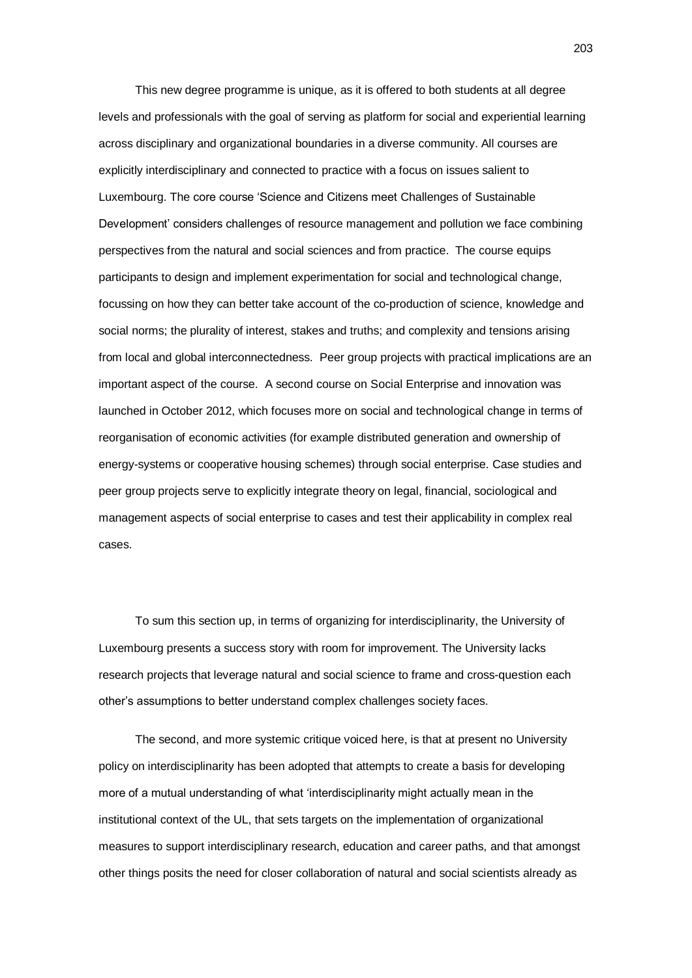This new degree programme is unique, as it is offered to both students at all degree levels and professionals with the goal of serving as platform for social and experiential learning across disciplinary and organizational boundaries in a diverse community. All courses are explicitly interdisciplinary and connected to practice with a focus on issues salient to Luxembourg. The core course 'Science and Citizens meet Challenges of Sustainable Development' considers challenges of resource management and pollution we face combining perspectives from the natural and social sciences and from practice. The course equips participants to design and implement experimentation for social and technological change, focussing on how they can better take account of the co-production of science, knowledge and social norms; the plurality of interest, stakes and truths; and complexity and tensions arising from local and global interconnectedness. Peer group projects with practical implications are an important aspect of the course. A second course on Social Enterprise and innovation was launched in October 2012, which focuses more on social and technological change in terms of reorganisation of economic activities (for example distributed generation and ownership of energy-systems or cooperative housing schemes) through social enterprise. Case studies and peer group projects serve to explicitly integrate theory on legal, financial, sociological and management aspects of social enterprise to cases and test their applicability in complex real cases.

To sum this section up, in terms of organizing for interdisciplinarity, the University of Luxembourg presents a success story with room for improvement. The University lacks research projects that leverage natural and social science to frame and cross-question each other's assumptions to better understand complex challenges society faces.

The second, and more systemic critique voiced here, is that at present no University policy on interdisciplinarity has been adopted that attempts to create a basis for developing more of a mutual understanding of what 'interdisciplinarity might actually mean in the institutional context of the UL, that sets targets on the implementation of organizational measures to support interdisciplinary research, education and career paths, and that amongst other things posits the need for closer collaboration of natural and social scientists already as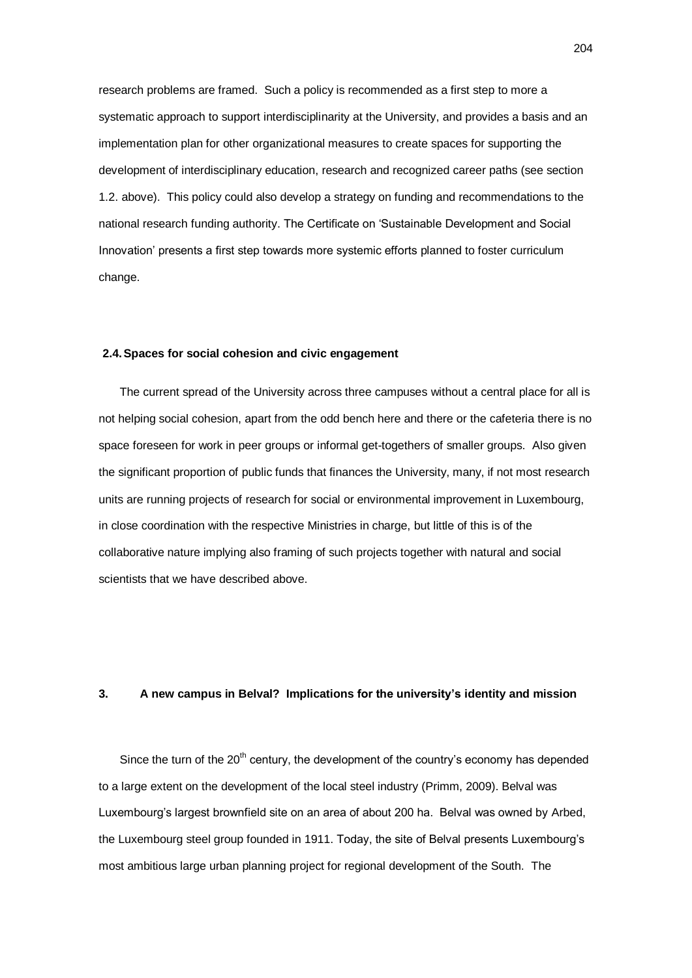research problems are framed. Such a policy is recommended as a first step to more a systematic approach to support interdisciplinarity at the University, and provides a basis and an implementation plan for other organizational measures to create spaces for supporting the development of interdisciplinary education, research and recognized career paths (see section 1.2. above). This policy could also develop a strategy on funding and recommendations to the national research funding authority. The Certificate on 'Sustainable Development and Social Innovation' presents a first step towards more systemic efforts planned to foster curriculum change.

### **2.4.Spaces for social cohesion and civic engagement**

The current spread of the University across three campuses without a central place for all is not helping social cohesion, apart from the odd bench here and there or the cafeteria there is no space foreseen for work in peer groups or informal get-togethers of smaller groups. Also given the significant proportion of public funds that finances the University, many, if not most research units are running projects of research for social or environmental improvement in Luxembourg, in close coordination with the respective Ministries in charge, but little of this is of the collaborative nature implying also framing of such projects together with natural and social scientists that we have described above.

# **3. A new campus in Belval? Implications for the university's identity and mission**

Since the turn of the 20<sup>th</sup> century, the development of the country's economy has depended to a large extent on the development of the local steel industry (Primm, 2009). Belval was Luxembourg's largest brownfield site on an area of about 200 ha. Belval was owned by Arbed, the Luxembourg steel group founded in 1911. Today, the site of Belval presents Luxembourg's most ambitious large urban planning project for regional development of the South. The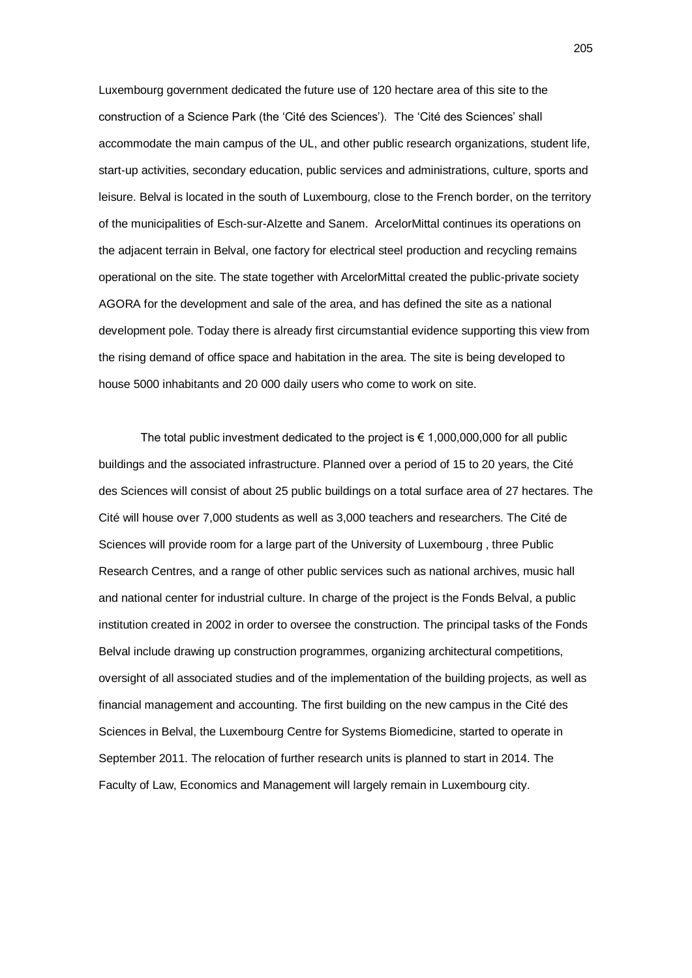Luxembourg government dedicated the future use of 120 hectare area of this site to the construction of a Science Park (the 'Cité des Sciences'). The 'Cité des Sciences' shall accommodate the main campus of the UL, and other public research organizations, student life, start-up activities, secondary education, public services and administrations, culture, sports and leisure. Belval is located in the south of Luxembourg, close to the French border, on the territory of the municipalities of Esch-sur-Alzette and Sanem. ArcelorMittal continues its operations on the adjacent terrain in Belval, one factory for electrical steel production and recycling remains operational on the site. The state together with ArcelorMittal created the public-private society AGORA for the development and sale of the area, and has defined the site as a national development pole. Today there is already first circumstantial evidence supporting this view from the rising demand of office space and habitation in the area. The site is being developed to house 5000 inhabitants and 20 000 daily users who come to work on site.

The total public investment dedicated to the project is  $\epsilon$  1,000,000,000 for all public buildings and the associated infrastructure. Planned over a period of 15 to 20 years, the Cité des Sciences will consist of about 25 public buildings on a total surface area of 27 hectares. The Cité will house over 7,000 students as well as 3,000 teachers and researchers. The Cité de Sciences will provide room for a large part of the University of Luxembourg , three Public Research Centres, and a range of other public services such as national archives, music hall and national center for industrial culture. In charge of the project is the Fonds Belval, a public institution created in 2002 in order to oversee the construction. The principal tasks of the Fonds Belval include drawing up construction programmes, organizing architectural competitions, oversight of all associated studies and of the implementation of the building projects, as well as financial management and accounting. The first building on the new campus in the Cité des Sciences in Belval, the Luxembourg Centre for Systems Biomedicine, started to operate in September 2011. The relocation of further research units is planned to start in 2014. The Faculty of Law, Economics and Management will largely remain in Luxembourg city.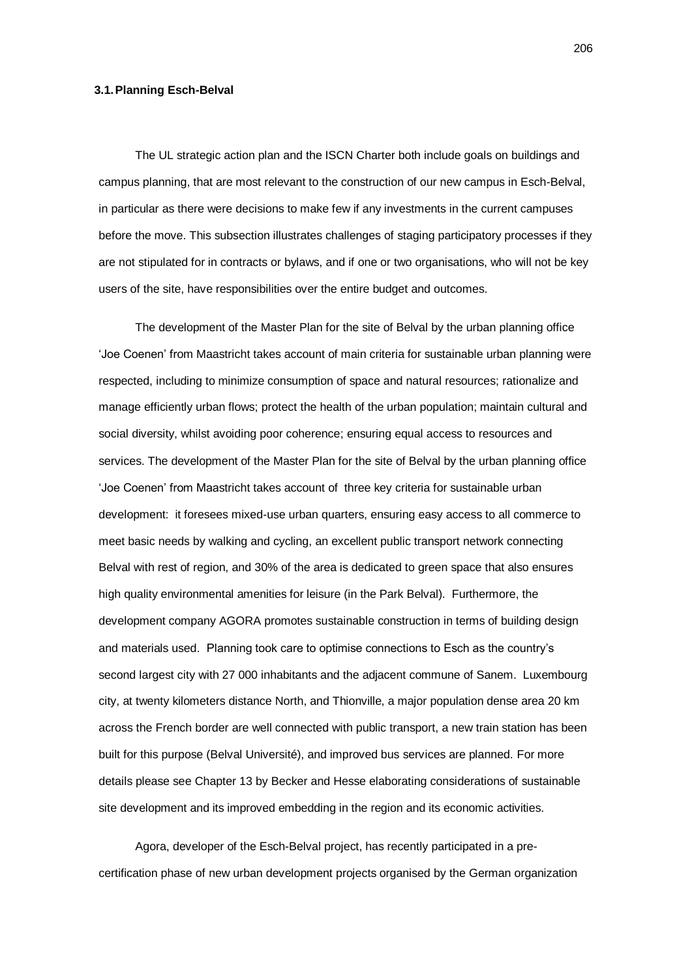# **3.1.Planning Esch-Belval**

The UL strategic action plan and the ISCN Charter both include goals on buildings and campus planning, that are most relevant to the construction of our new campus in Esch-Belval, in particular as there were decisions to make few if any investments in the current campuses before the move. This subsection illustrates challenges of staging participatory processes if they are not stipulated for in contracts or bylaws, and if one or two organisations, who will not be key users of the site, have responsibilities over the entire budget and outcomes.

The development of the Master Plan for the site of Belval by the urban planning office 'Joe Coenen' from Maastricht takes account of main criteria for sustainable urban planning were respected, including to minimize consumption of space and natural resources; rationalize and manage efficiently urban flows; protect the health of the urban population; maintain cultural and social diversity, whilst avoiding poor coherence; ensuring equal access to resources and services. The development of the Master Plan for the site of Belval by the urban planning office 'Joe Coenen' from Maastricht takes account of three key criteria for sustainable urban development: it foresees mixed-use urban quarters, ensuring easy access to all commerce to meet basic needs by walking and cycling, an excellent public transport network connecting Belval with rest of region, and 30% of the area is dedicated to green space that also ensures high quality environmental amenities for leisure (in the Park Belval). Furthermore, the development company AGORA promotes sustainable construction in terms of building design and materials used. Planning took care to optimise connections to Esch as the country's second largest city with 27 000 inhabitants and the adjacent commune of Sanem. Luxembourg city, at twenty kilometers distance North, and Thionville, a major population dense area 20 km across the French border are well connected with public transport, a new train station has been built for this purpose (Belval Université), and improved bus services are planned. For more details please see Chapter 13 by Becker and Hesse elaborating considerations of sustainable site development and its improved embedding in the region and its economic activities.

Agora, developer of the Esch-Belval project, has recently participated in a precertification phase of new urban development projects organised by the German organization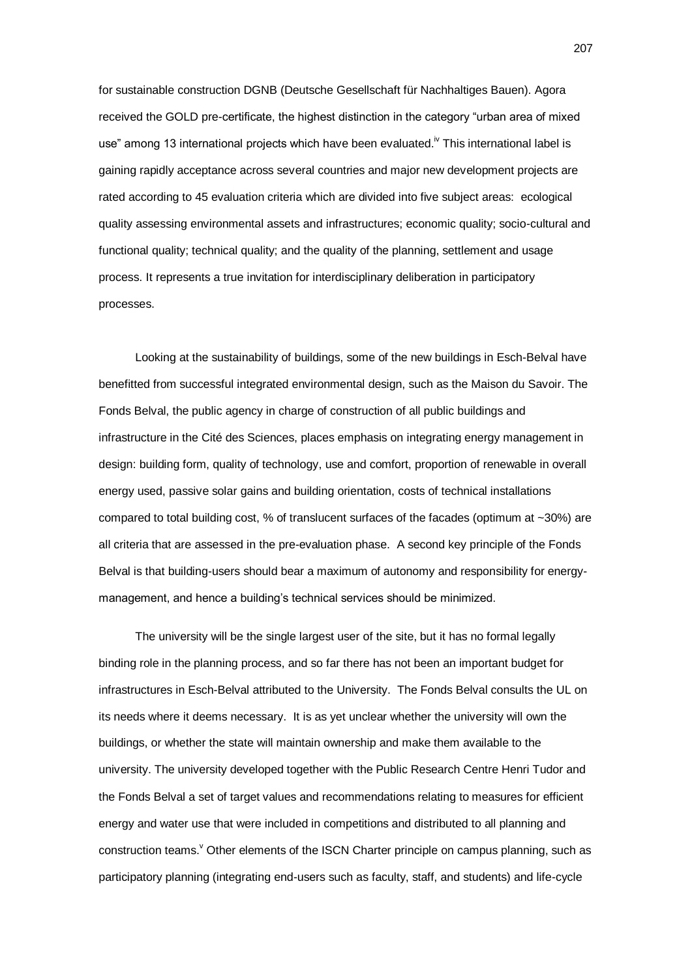for sustainable construction DGNB (Deutsche Gesellschaft für Nachhaltiges Bauen). Agora received the GOLD pre-certificate, the highest distinction in the category "urban area of mixed use" among 13 international projects which have been evaluated.<sup>IV</sup> This international label is gaining rapidly acceptance across several countries and major new development projects are rated according to 45 evaluation criteria which are divided into five subject areas: ecological quality assessing environmental assets and infrastructures; economic quality; socio-cultural and functional quality; technical quality; and the quality of the planning, settlement and usage process. It represents a true invitation for interdisciplinary deliberation in participatory processes.

Looking at the sustainability of buildings, some of the new buildings in Esch-Belval have benefitted from successful integrated environmental design, such as the Maison du Savoir. The Fonds Belval, the public agency in charge of construction of all public buildings and infrastructure in the Cité des Sciences, places emphasis on integrating energy management in design: building form, quality of technology, use and comfort, proportion of renewable in overall energy used, passive solar gains and building orientation, costs of technical installations compared to total building cost, % of translucent surfaces of the facades (optimum at ~30%) are all criteria that are assessed in the pre-evaluation phase. A second key principle of the Fonds Belval is that building-users should bear a maximum of autonomy and responsibility for energymanagement, and hence a building's technical services should be minimized.

The university will be the single largest user of the site, but it has no formal legally binding role in the planning process, and so far there has not been an important budget for infrastructures in Esch-Belval attributed to the University. The Fonds Belval consults the UL on its needs where it deems necessary. It is as yet unclear whether the university will own the buildings, or whether the state will maintain ownership and make them available to the university. The university developed together with the Public Research Centre Henri Tudor and the Fonds Belval a set of target values and recommendations relating to measures for efficient energy and water use that were included in competitions and distributed to all planning and construction teams.  $\check{y}$  Other elements of the ISCN Charter principle on campus planning, such as participatory planning (integrating end-users such as faculty, staff, and students) and life-cycle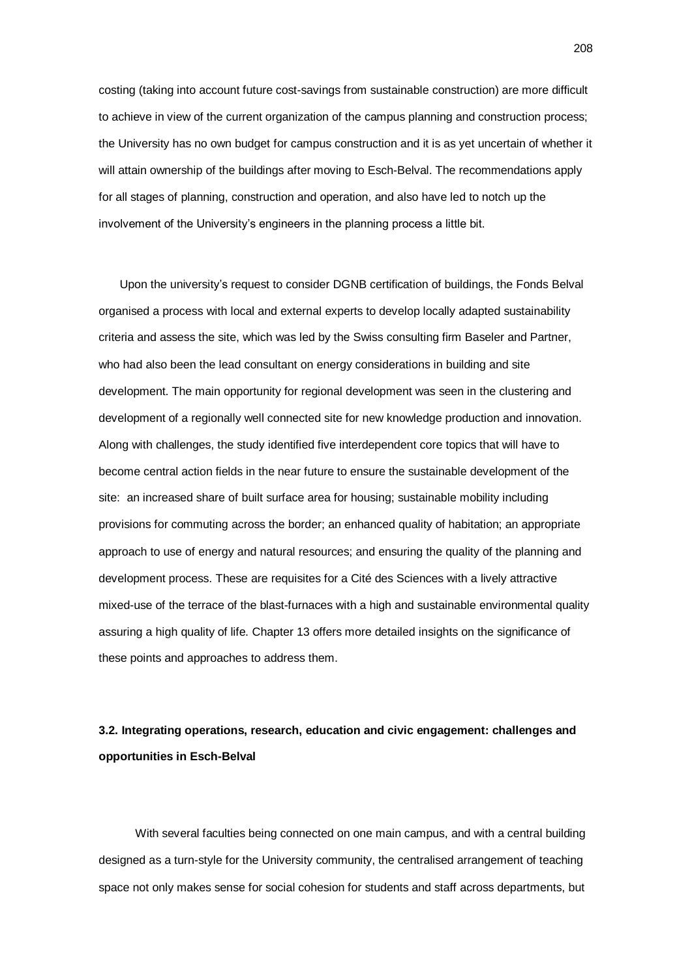costing (taking into account future cost-savings from sustainable construction) are more difficult to achieve in view of the current organization of the campus planning and construction process; the University has no own budget for campus construction and it is as yet uncertain of whether it will attain ownership of the buildings after moving to Esch-Belval. The recommendations apply for all stages of planning, construction and operation, and also have led to notch up the involvement of the University's engineers in the planning process a little bit.

Upon the university's request to consider DGNB certification of buildings, the Fonds Belval organised a process with local and external experts to develop locally adapted sustainability criteria and assess the site, which was led by the Swiss consulting firm Baseler and Partner, who had also been the lead consultant on energy considerations in building and site development. The main opportunity for regional development was seen in the clustering and development of a regionally well connected site for new knowledge production and innovation. Along with challenges, the study identified five interdependent core topics that will have to become central action fields in the near future to ensure the sustainable development of the site: an increased share of built surface area for housing; sustainable mobility including provisions for commuting across the border; an enhanced quality of habitation; an appropriate approach to use of energy and natural resources; and ensuring the quality of the planning and development process. These are requisites for a Cité des Sciences with a lively attractive mixed-use of the terrace of the blast-furnaces with a high and sustainable environmental quality assuring a high quality of life. Chapter 13 offers more detailed insights on the significance of these points and approaches to address them.

# **3.2. Integrating operations, research, education and civic engagement: challenges and opportunities in Esch-Belval**

With several faculties being connected on one main campus, and with a central building designed as a turn-style for the University community, the centralised arrangement of teaching space not only makes sense for social cohesion for students and staff across departments, but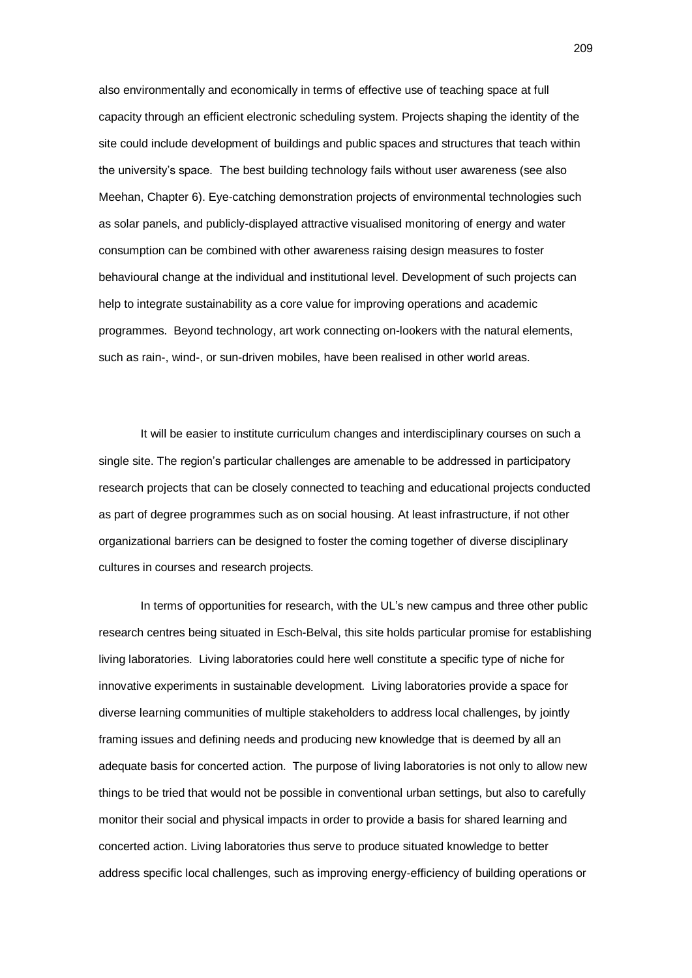also environmentally and economically in terms of effective use of teaching space at full capacity through an efficient electronic scheduling system. Projects shaping the identity of the site could include development of buildings and public spaces and structures that teach within the university's space. The best building technology fails without user awareness (see also Meehan, Chapter 6). Eye-catching demonstration projects of environmental technologies such as solar panels, and publicly-displayed attractive visualised monitoring of energy and water consumption can be combined with other awareness raising design measures to foster behavioural change at the individual and institutional level. Development of such projects can help to integrate sustainability as a core value for improving operations and academic programmes. Beyond technology, art work connecting on-lookers with the natural elements, such as rain-, wind-, or sun-driven mobiles, have been realised in other world areas.

It will be easier to institute curriculum changes and interdisciplinary courses on such a single site. The region's particular challenges are amenable to be addressed in participatory research projects that can be closely connected to teaching and educational projects conducted as part of degree programmes such as on social housing. At least infrastructure, if not other organizational barriers can be designed to foster the coming together of diverse disciplinary cultures in courses and research projects.

In terms of opportunities for research, with the UL's new campus and three other public research centres being situated in Esch-Belval, this site holds particular promise for establishing living laboratories. Living laboratories could here well constitute a specific type of niche for innovative experiments in sustainable development. Living laboratories provide a space for diverse learning communities of multiple stakeholders to address local challenges, by jointly framing issues and defining needs and producing new knowledge that is deemed by all an adequate basis for concerted action. The purpose of living laboratories is not only to allow new things to be tried that would not be possible in conventional urban settings, but also to carefully monitor their social and physical impacts in order to provide a basis for shared learning and concerted action. Living laboratories thus serve to produce situated knowledge to better address specific local challenges, such as improving energy-efficiency of building operations or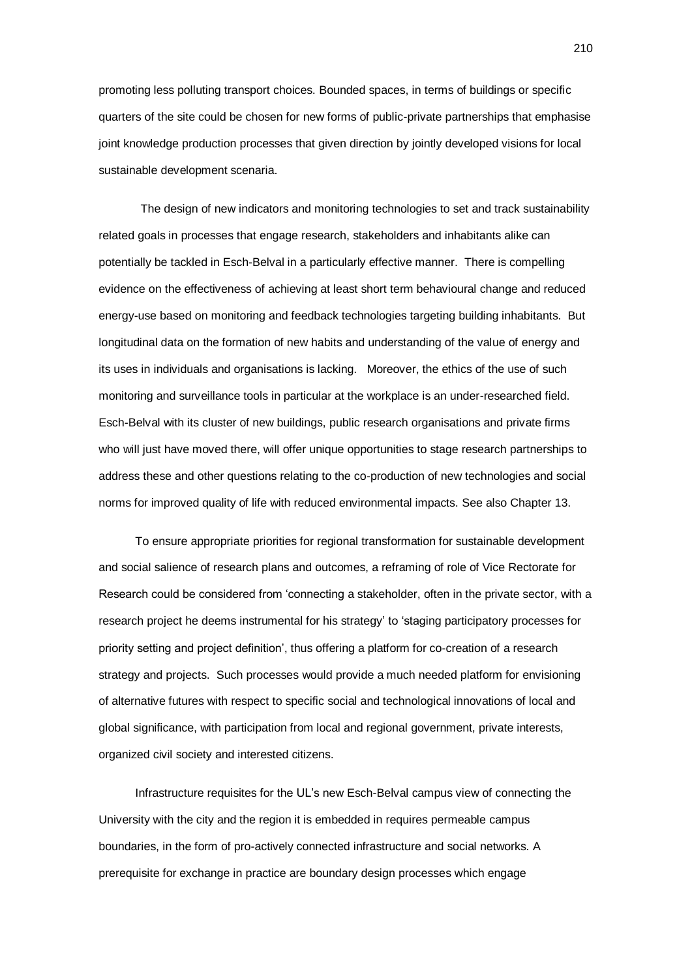promoting less polluting transport choices. Bounded spaces, in terms of buildings or specific quarters of the site could be chosen for new forms of public-private partnerships that emphasise joint knowledge production processes that given direction by jointly developed visions for local sustainable development scenaria.

The design of new indicators and monitoring technologies to set and track sustainability related goals in processes that engage research, stakeholders and inhabitants alike can potentially be tackled in Esch-Belval in a particularly effective manner. There is compelling evidence on the effectiveness of achieving at least short term behavioural change and reduced energy-use based on monitoring and feedback technologies targeting building inhabitants. But longitudinal data on the formation of new habits and understanding of the value of energy and its uses in individuals and organisations is lacking. Moreover, the ethics of the use of such monitoring and surveillance tools in particular at the workplace is an under-researched field. Esch-Belval with its cluster of new buildings, public research organisations and private firms who will just have moved there, will offer unique opportunities to stage research partnerships to address these and other questions relating to the co-production of new technologies and social norms for improved quality of life with reduced environmental impacts. See also Chapter 13.

To ensure appropriate priorities for regional transformation for sustainable development and social salience of research plans and outcomes, a reframing of role of Vice Rectorate for Research could be considered from 'connecting a stakeholder, often in the private sector, with a research project he deems instrumental for his strategy' to 'staging participatory processes for priority setting and project definition', thus offering a platform for co-creation of a research strategy and projects. Such processes would provide a much needed platform for envisioning of alternative futures with respect to specific social and technological innovations of local and global significance, with participation from local and regional government, private interests, organized civil society and interested citizens.

Infrastructure requisites for the UL's new Esch-Belval campus view of connecting the University with the city and the region it is embedded in requires permeable campus boundaries, in the form of pro-actively connected infrastructure and social networks. A prerequisite for exchange in practice are boundary design processes which engage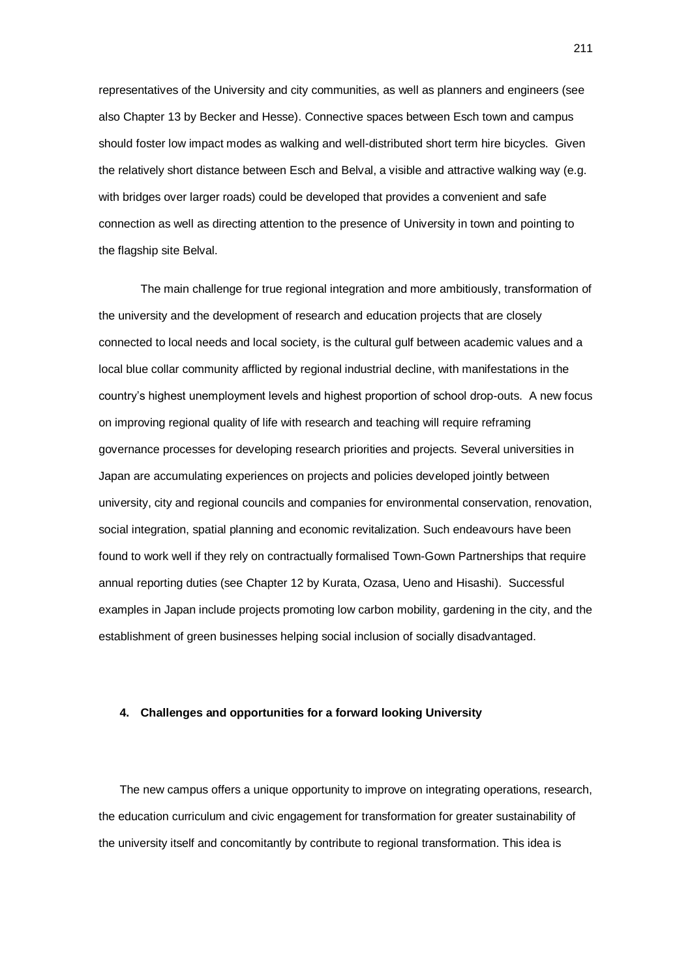representatives of the University and city communities, as well as planners and engineers (see also Chapter 13 by Becker and Hesse). Connective spaces between Esch town and campus should foster low impact modes as walking and well-distributed short term hire bicycles. Given the relatively short distance between Esch and Belval, a visible and attractive walking way (e.g. with bridges over larger roads) could be developed that provides a convenient and safe connection as well as directing attention to the presence of University in town and pointing to the flagship site Belval.

The main challenge for true regional integration and more ambitiously, transformation of the university and the development of research and education projects that are closely connected to local needs and local society, is the cultural gulf between academic values and a local blue collar community afflicted by regional industrial decline, with manifestations in the country's highest unemployment levels and highest proportion of school drop-outs. A new focus on improving regional quality of life with research and teaching will require reframing governance processes for developing research priorities and projects. Several universities in Japan are accumulating experiences on projects and policies developed jointly between university, city and regional councils and companies for environmental conservation, renovation, social integration, spatial planning and economic revitalization. Such endeavours have been found to work well if they rely on contractually formalised Town-Gown Partnerships that require annual reporting duties (see Chapter 12 by Kurata, Ozasa, Ueno and Hisashi). Successful examples in Japan include projects promoting low carbon mobility, gardening in the city, and the establishment of green businesses helping social inclusion of socially disadvantaged.

### **4. Challenges and opportunities for a forward looking University**

The new campus offers a unique opportunity to improve on integrating operations, research, the education curriculum and civic engagement for transformation for greater sustainability of the university itself and concomitantly by contribute to regional transformation. This idea is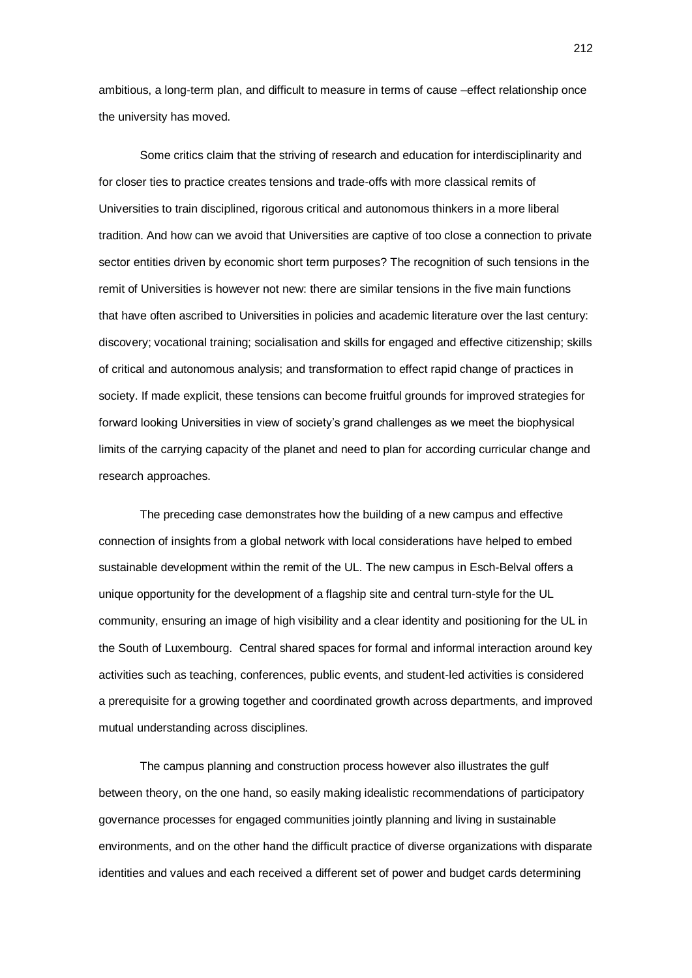ambitious, a long-term plan, and difficult to measure in terms of cause –effect relationship once the university has moved.

Some critics claim that the striving of research and education for interdisciplinarity and for closer ties to practice creates tensions and trade-offs with more classical remits of Universities to train disciplined, rigorous critical and autonomous thinkers in a more liberal tradition. And how can we avoid that Universities are captive of too close a connection to private sector entities driven by economic short term purposes? The recognition of such tensions in the remit of Universities is however not new: there are similar tensions in the five main functions that have often ascribed to Universities in policies and academic literature over the last century: discovery; vocational training; socialisation and skills for engaged and effective citizenship; skills of critical and autonomous analysis; and transformation to effect rapid change of practices in society. If made explicit, these tensions can become fruitful grounds for improved strategies for forward looking Universities in view of society's grand challenges as we meet the biophysical limits of the carrying capacity of the planet and need to plan for according curricular change and research approaches.

The preceding case demonstrates how the building of a new campus and effective connection of insights from a global network with local considerations have helped to embed sustainable development within the remit of the UL. The new campus in Esch-Belval offers a unique opportunity for the development of a flagship site and central turn-style for the UL community, ensuring an image of high visibility and a clear identity and positioning for the UL in the South of Luxembourg. Central shared spaces for formal and informal interaction around key activities such as teaching, conferences, public events, and student-led activities is considered a prerequisite for a growing together and coordinated growth across departments, and improved mutual understanding across disciplines.

The campus planning and construction process however also illustrates the gulf between theory, on the one hand, so easily making idealistic recommendations of participatory governance processes for engaged communities jointly planning and living in sustainable environments, and on the other hand the difficult practice of diverse organizations with disparate identities and values and each received a different set of power and budget cards determining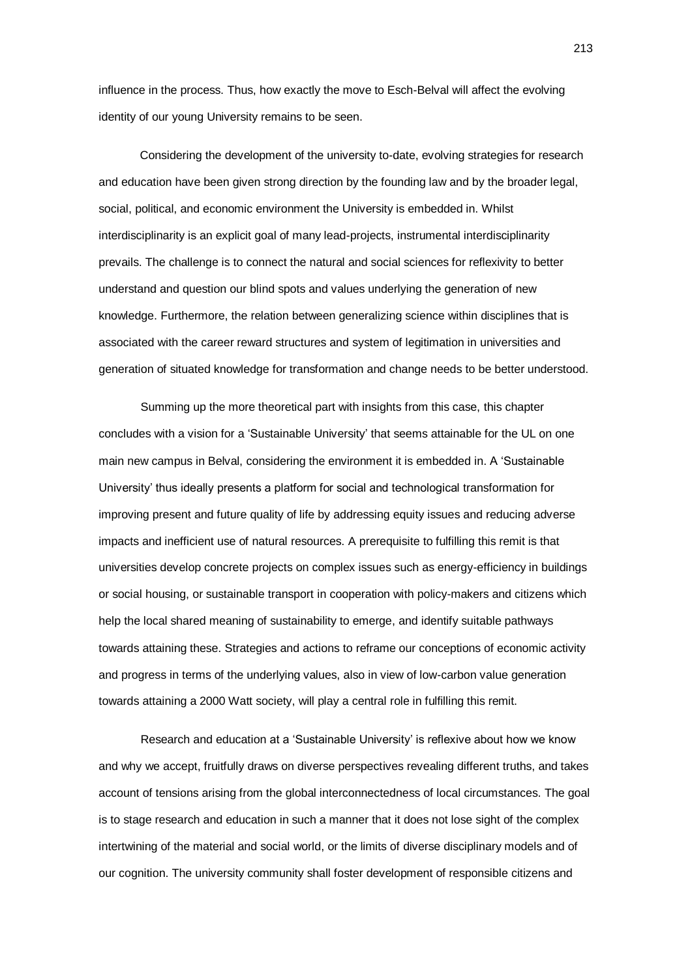influence in the process. Thus, how exactly the move to Esch-Belval will affect the evolving identity of our young University remains to be seen.

Considering the development of the university to-date, evolving strategies for research and education have been given strong direction by the founding law and by the broader legal, social, political, and economic environment the University is embedded in. Whilst interdisciplinarity is an explicit goal of many lead-projects, instrumental interdisciplinarity prevails. The challenge is to connect the natural and social sciences for reflexivity to better understand and question our blind spots and values underlying the generation of new knowledge. Furthermore, the relation between generalizing science within disciplines that is associated with the career reward structures and system of legitimation in universities and generation of situated knowledge for transformation and change needs to be better understood.

Summing up the more theoretical part with insights from this case, this chapter concludes with a vision for a 'Sustainable University' that seems attainable for the UL on one main new campus in Belval, considering the environment it is embedded in. A 'Sustainable University' thus ideally presents a platform for social and technological transformation for improving present and future quality of life by addressing equity issues and reducing adverse impacts and inefficient use of natural resources. A prerequisite to fulfilling this remit is that universities develop concrete projects on complex issues such as energy-efficiency in buildings or social housing, or sustainable transport in cooperation with policy-makers and citizens which help the local shared meaning of sustainability to emerge, and identify suitable pathways towards attaining these. Strategies and actions to reframe our conceptions of economic activity and progress in terms of the underlying values, also in view of low-carbon value generation towards attaining a 2000 Watt society, will play a central role in fulfilling this remit.

Research and education at a 'Sustainable University' is reflexive about how we know and why we accept, fruitfully draws on diverse perspectives revealing different truths, and takes account of tensions arising from the global interconnectedness of local circumstances. The goal is to stage research and education in such a manner that it does not lose sight of the complex intertwining of the material and social world, or the limits of diverse disciplinary models and of our cognition. The university community shall foster development of responsible citizens and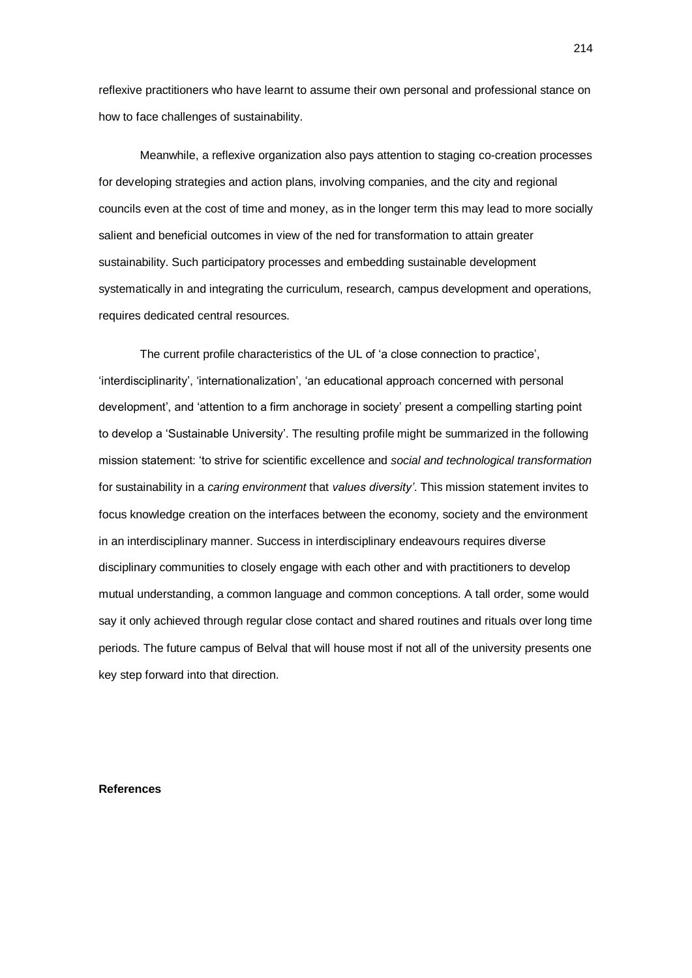reflexive practitioners who have learnt to assume their own personal and professional stance on how to face challenges of sustainability.

Meanwhile, a reflexive organization also pays attention to staging co-creation processes for developing strategies and action plans, involving companies, and the city and regional councils even at the cost of time and money, as in the longer term this may lead to more socially salient and beneficial outcomes in view of the ned for transformation to attain greater sustainability. Such participatory processes and embedding sustainable development systematically in and integrating the curriculum, research, campus development and operations, requires dedicated central resources.

The current profile characteristics of the UL of 'a close connection to practice', 'interdisciplinarity', 'internationalization', 'an educational approach concerned with personal development', and 'attention to a firm anchorage in society' present a compelling starting point to develop a 'Sustainable University'. The resulting profile might be summarized in the following mission statement: 'to strive for scientific excellence and *social and technological transformation* for sustainability in a *caring environment* that *values diversity'*. This mission statement invites to focus knowledge creation on the interfaces between the economy, society and the environment in an interdisciplinary manner. Success in interdisciplinary endeavours requires diverse disciplinary communities to closely engage with each other and with practitioners to develop mutual understanding, a common language and common conceptions. A tall order, some would say it only achieved through regular close contact and shared routines and rituals over long time periods. The future campus of Belval that will house most if not all of the university presents one key step forward into that direction.

# **References**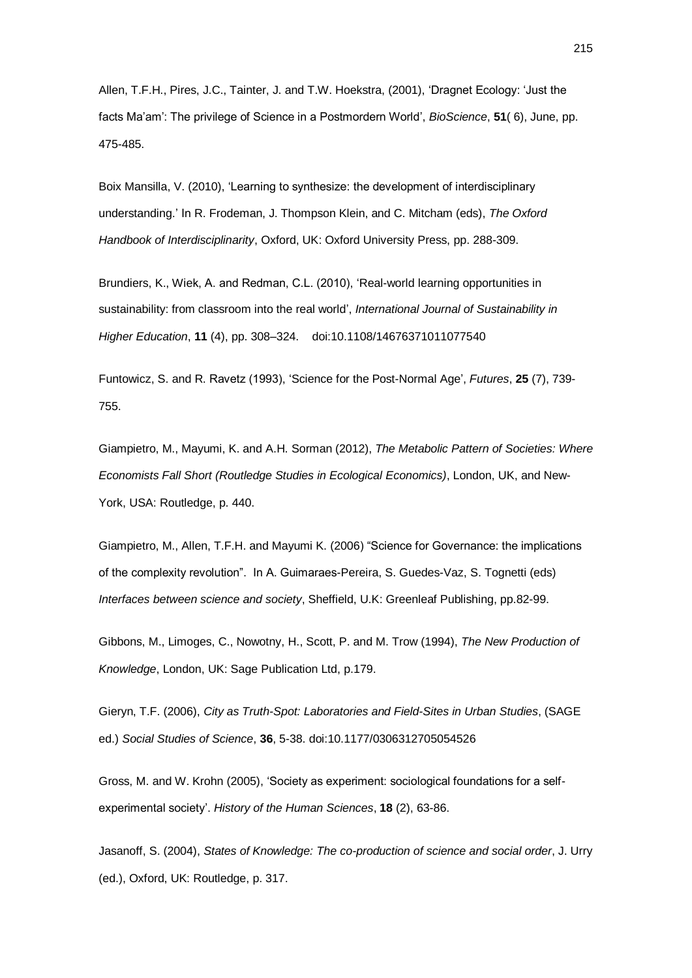Allen, T.F.H., Pires, J.C., Tainter, J. and T.W. Hoekstra, (2001), 'Dragnet Ecology: 'Just the facts Ma'am': The privilege of Science in a Postmordern World', *BioScience*, **51**( 6), June, pp. 475-485.

Boix Mansilla, V. (2010), 'Learning to synthesize: the development of interdisciplinary understanding.' In R. Frodeman, J. Thompson Klein, and C. Mitcham (eds), *The Oxford Handbook of Interdisciplinarity*, Oxford, UK: Oxford University Press, pp. 288-309.

Brundiers, K., Wiek, A. and Redman, C.L. (2010), 'Real-world learning opportunities in sustainability: from classroom into the real world', *International Journal of Sustainability in Higher Education*, **11** (4), pp. 308–324. doi:10.1108/14676371011077540

Funtowicz, S. and R. Ravetz (1993), 'Science for the Post-Normal Age', *Futures*, **25** (7), 739- 755.

Giampietro, M., Mayumi, K. and A.H. Sorman (2012), *The Metabolic Pattern of Societies: Where Economists Fall Short (Routledge Studies in Ecological Economics)*, London, UK, and New-York, USA: Routledge, p. 440.

Giampietro, M., Allen, T.F.H. and Mayumi K. (2006) "Science for Governance: the implications of the complexity revolution". In A. Guimaraes-Pereira, S. Guedes-Vaz, S. Tognetti (eds) *Interfaces between science and society*, Sheffield, U.K: Greenleaf Publishing, pp.82-99.

Gibbons, M., Limoges, C., Nowotny, H., Scott, P. and M. Trow (1994), *The New Production of Knowledge*, London, UK: Sage Publication Ltd, p.179.

Gieryn, T.F. (2006), *City as Truth-Spot: Laboratories and Field-Sites in Urban Studies*, (SAGE ed.) *Social Studies of Science*, **36**, 5-38. doi:10.1177/0306312705054526

Gross, M. and W. Krohn (2005), 'Society as experiment: sociological foundations for a selfexperimental society'. *History of the Human Sciences*, **18** (2), 63-86.

Jasanoff, S. (2004), *States of Knowledge: The co-production of science and social order*, J. Urry (ed.), Oxford, UK: Routledge, p. 317.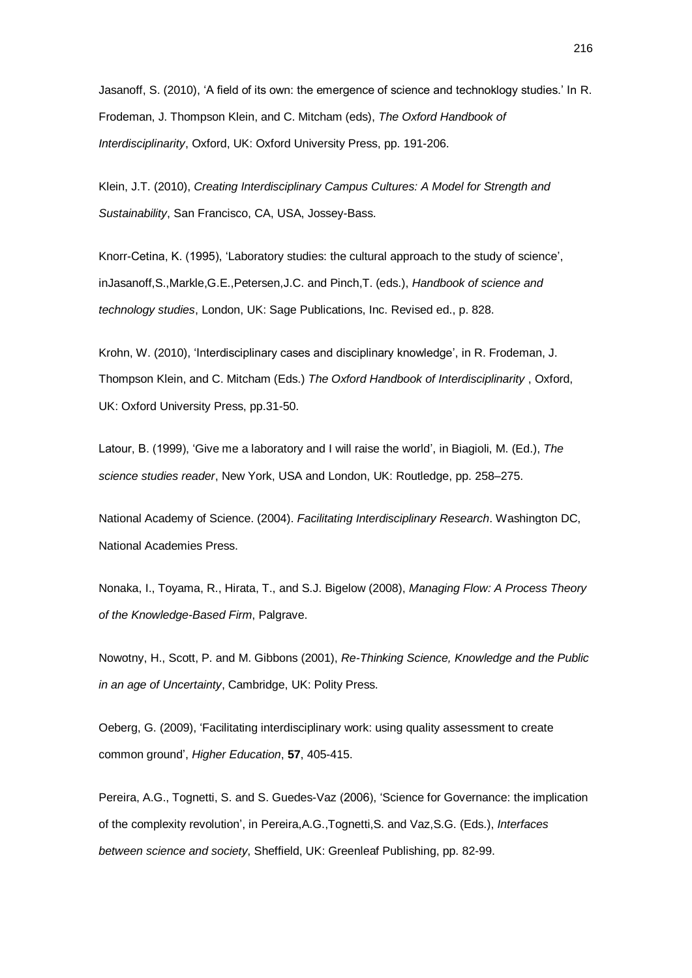Jasanoff, S. (2010), 'A field of its own: the emergence of science and technoklogy studies.' In R. Frodeman, J. Thompson Klein, and C. Mitcham (eds), *The Oxford Handbook of Interdisciplinarity*, Oxford, UK: Oxford University Press, pp. 191-206.

Klein, J.T. (2010), *[Creating Interdisciplinary Campus Cultures: A Model for Strength and](http://www.amazon.de/Creating-Interdisciplinary-Campus-Cultures-Sustainability/dp/0470550899/ref=sr_1_10?s=books-intl-de&ie=UTF8&qid=1358954882&sr=1-10)  [Sustainability](http://www.amazon.de/Creating-Interdisciplinary-Campus-Cultures-Sustainability/dp/0470550899/ref=sr_1_10?s=books-intl-de&ie=UTF8&qid=1358954882&sr=1-10)*, San Francisco, CA, USA, Jossey-Bass.

Knorr-Cetina, K. (1995), 'Laboratory studies: the cultural approach to the study of science', inJasanoff,S.,Markle,G.E.,Petersen,J.C. and Pinch,T. (eds.), *Handbook of science and technology studies*, London, UK: Sage Publications, Inc. Revised ed., p. 828.

Krohn, W. (2010), 'Interdisciplinary cases and disciplinary knowledge', in R. Frodeman, J. Thompson Klein, and C. Mitcham (Eds.) *The Oxford Handbook of Interdisciplinarity* , Oxford, UK: Oxford University Press, pp.31-50.

Latour, B. (1999), 'Give me a laboratory and I will raise the world', in Biagioli, M. (Ed.), *The science studies reader*, New York, USA and London, UK: Routledge, pp. 258–275.

National Academy of Science. (2004). *Facilitating Interdisciplinary Research*. Washington DC, National Academies Press.

Nonaka, I., Toyama, R., Hirata, T., and S.J. Bigelow (2008), *[Managing Flow: A Process Theory](http://www.amazon.de/Managing-Flow-Process-Theory-Knowledge-Based/dp/0230553761/ref=sr_1_11?s=books-intl-de&ie=UTF8&qid=1345368902&sr=1-11)  [of the Knowledge-Based Firm](http://www.amazon.de/Managing-Flow-Process-Theory-Knowledge-Based/dp/0230553761/ref=sr_1_11?s=books-intl-de&ie=UTF8&qid=1345368902&sr=1-11)*, Palgrave.

Nowotny, H., Scott, P. and M. Gibbons (2001), *Re-Thinking Science, Knowledge and the Public in an age of Uncertainty*, Cambridge, UK: Polity Press.

Oeberg, G. (2009), 'Facilitating interdisciplinary work: using quality assessment to create common ground', *Higher Education*, **57**, 405-415.

Pereira, A.G., Tognetti, S. and S. Guedes-Vaz (2006), 'Science for Governance: the implication of the complexity revolution', in Pereira,A.G.,Tognetti,S. and Vaz,S.G. (Eds.), *Interfaces between science and society*, Sheffield, UK: Greenleaf Publishing, pp. 82-99.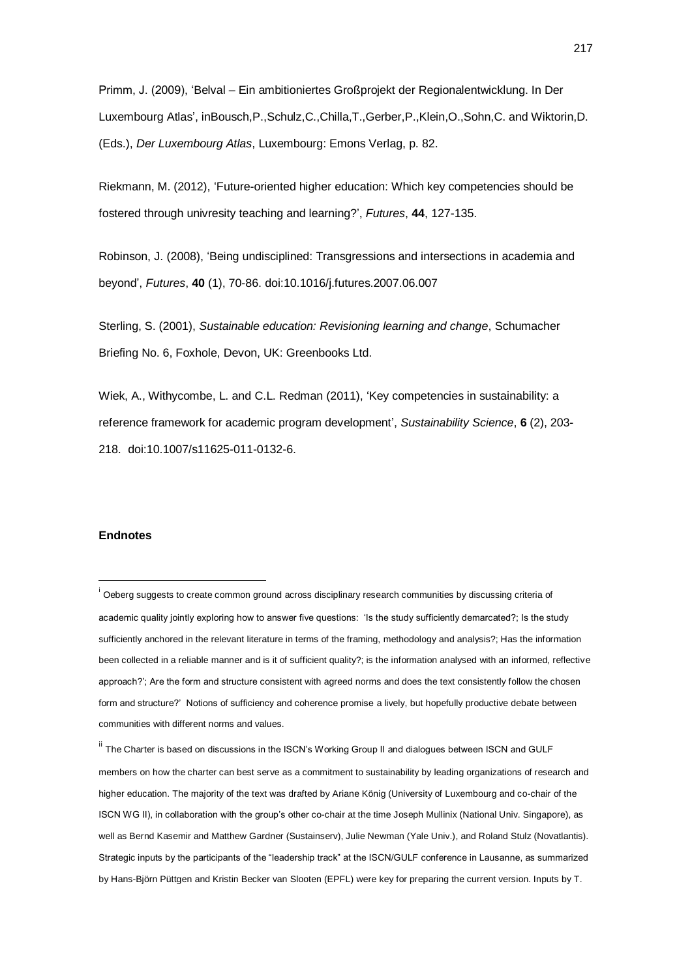Primm, J. (2009), 'Belval – Ein ambitioniertes Großprojekt der Regionalentwicklung. In Der Luxembourg Atlas', inBousch,P.,Schulz,C.,Chilla,T.,Gerber,P.,Klein,O.,Sohn,C. and Wiktorin,D. (Eds.), *Der Luxembourg Atlas*, Luxembourg: Emons Verlag, p. 82.

Riekmann, M. (2012), 'Future-oriented higher education: Which key competencies should be fostered through univresity teaching and learning?', *Futures*, **44**, 127-135.

Robinson, J. (2008), 'Being undisciplined: Transgressions and intersections in academia and beyond', *Futures*, **40** (1), 70-86. doi:10.1016/j.futures.2007.06.007

Sterling, S. (2001), *Sustainable education: Revisioning learning and change*, Schumacher Briefing No. 6, Foxhole, Devon, UK: Greenbooks Ltd.

Wiek, A., Withycombe, L. and C.L. Redman (2011), 'Key competencies in sustainability: a reference framework for academic program development', *Sustainability Science*, **6** (2), 203- 218. doi:10.1007/s11625-011-0132-6.

#### **Endnotes**

 $\overline{a}$ 

<sup>&</sup>lt;sup>i</sup> Oeberg suggests to create common ground across disciplinary research communities by discussing criteria of academic quality jointly exploring how to answer five questions: 'Is the study sufficiently demarcated?; Is the study sufficiently anchored in the relevant literature in terms of the framing, methodology and analysis?; Has the information been collected in a reliable manner and is it of sufficient quality?; is the information analysed with an informed, reflective approach?'; Are the form and structure consistent with agreed norms and does the text consistently follow the chosen form and structure?' Notions of sufficiency and coherence promise a lively, but hopefully productive debate between communities with different norms and values.

<sup>&</sup>lt;sup>ii</sup> The Charter is based on discussions in the ISCN's Working Group II and dialogues between ISCN and GULF members on how the charter can best serve as a commitment to sustainability by leading organizations of research and higher education. The majority of the text was drafted by Ariane König (University of Luxembourg and co-chair of the ISCN WG II), in collaboration with the group's other co-chair at the time Joseph Mullinix (National Univ. Singapore), as well as Bernd Kasemir and Matthew Gardner (Sustainserv), Julie Newman (Yale Univ.), and Roland Stulz (Novatlantis). Strategic inputs by the participants of the "leadership track" at the ISCN/GULF conference in Lausanne, as summarized by Hans-Björn Püttgen and Kristin Becker van Slooten (EPFL) were key for preparing the current version. Inputs by T.